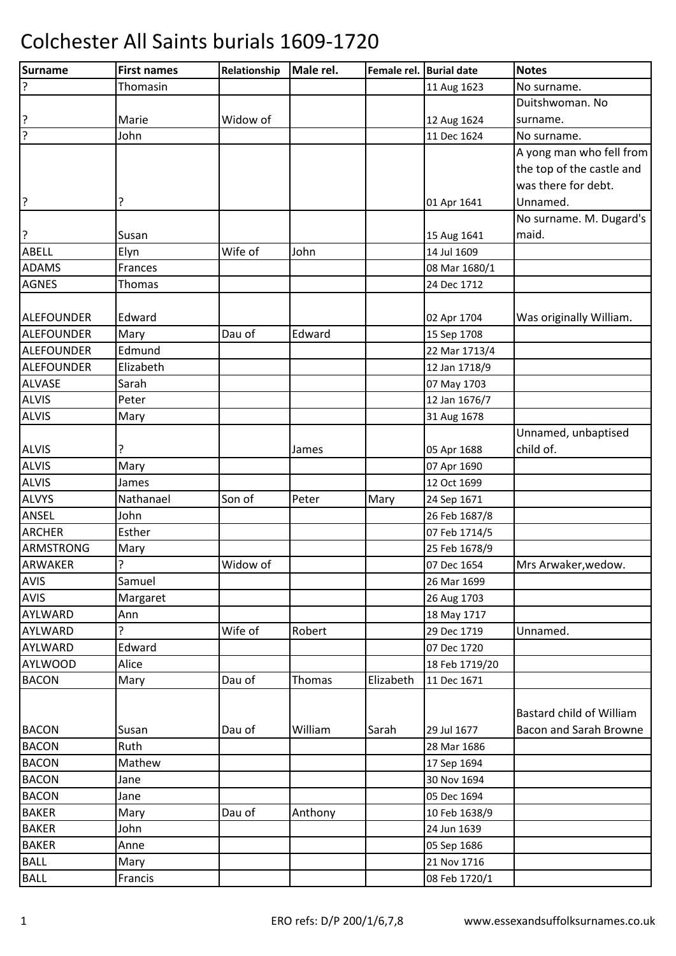| Surname           | <b>First names</b> | Relationship | Male rel.     | Female rel. Burial date |                | <b>Notes</b>              |
|-------------------|--------------------|--------------|---------------|-------------------------|----------------|---------------------------|
| ?                 | Thomasin           |              |               |                         | 11 Aug 1623    | No surname.               |
|                   |                    |              |               |                         |                | Duitshwoman. No           |
| ?                 | Marie              | Widow of     |               |                         | 12 Aug 1624    | surname.                  |
| ?                 | John               |              |               |                         | 11 Dec 1624    | No surname.               |
|                   |                    |              |               |                         |                | A yong man who fell from  |
|                   |                    |              |               |                         |                | the top of the castle and |
|                   |                    |              |               |                         |                | was there for debt.       |
| ?                 | ?                  |              |               |                         | 01 Apr 1641    | Unnamed.                  |
|                   |                    |              |               |                         |                | No surname. M. Dugard's   |
| ?                 | Susan              |              |               |                         | 15 Aug 1641    | maid.                     |
| <b>ABELL</b>      | Elyn               | Wife of      | John          |                         | 14 Jul 1609    |                           |
| <b>ADAMS</b>      | Frances            |              |               |                         | 08 Mar 1680/1  |                           |
| <b>AGNES</b>      | Thomas             |              |               |                         | 24 Dec 1712    |                           |
|                   |                    |              |               |                         |                |                           |
| ALEFOUNDER        | Edward             |              |               |                         | 02 Apr 1704    | Was originally William.   |
| ALEFOUNDER        | Mary               | Dau of       | Edward        |                         | 15 Sep 1708    |                           |
| ALEFOUNDER        | Edmund             |              |               |                         | 22 Mar 1713/4  |                           |
| <b>ALEFOUNDER</b> | Elizabeth          |              |               |                         | 12 Jan 1718/9  |                           |
| <b>ALVASE</b>     | Sarah              |              |               |                         | 07 May 1703    |                           |
| <b>ALVIS</b>      | Peter              |              |               |                         | 12 Jan 1676/7  |                           |
| <b>ALVIS</b>      | Mary               |              |               |                         | 31 Aug 1678    |                           |
|                   |                    |              |               |                         |                | Unnamed, unbaptised       |
| <b>ALVIS</b>      | ç                  |              | James         |                         | 05 Apr 1688    | child of.                 |
| <b>ALVIS</b>      | Mary               |              |               |                         | 07 Apr 1690    |                           |
| <b>ALVIS</b>      | James              |              |               |                         | 12 Oct 1699    |                           |
| <b>ALVYS</b>      | Nathanael          | Son of       | Peter         | Mary                    | 24 Sep 1671    |                           |
| ANSEL             | John               |              |               |                         | 26 Feb 1687/8  |                           |
| <b>ARCHER</b>     | Esther             |              |               |                         | 07 Feb 1714/5  |                           |
| <b>ARMSTRONG</b>  | Mary               |              |               |                         | 25 Feb 1678/9  |                           |
| <b>ARWAKER</b>    | ŗ                  | Widow of     |               |                         | 07 Dec 1654    | Mrs Arwaker, wedow.       |
| AVIS              | Samuel             |              |               |                         | 26 Mar 1699    |                           |
| AVIS              | Margaret           |              |               |                         | 26 Aug 1703    |                           |
| AYLWARD           | Ann                |              |               |                         | 18 May 1717    |                           |
| AYLWARD           | 5.                 | Wife of      | Robert        |                         | 29 Dec 1719    | Unnamed.                  |
| AYLWARD           | Edward             |              |               |                         | 07 Dec 1720    |                           |
| <b>AYLWOOD</b>    | Alice              |              |               |                         | 18 Feb 1719/20 |                           |
| <b>BACON</b>      | Mary               | Dau of       | <b>Thomas</b> | Elizabeth               | 11 Dec 1671    |                           |
|                   |                    |              |               |                         |                |                           |
|                   |                    |              |               |                         |                | Bastard child of William  |
| <b>BACON</b>      | Susan              | Dau of       | William       | Sarah                   | 29 Jul 1677    | Bacon and Sarah Browne    |
| <b>BACON</b>      | Ruth               |              |               |                         | 28 Mar 1686    |                           |
| <b>BACON</b>      | Mathew             |              |               |                         | 17 Sep 1694    |                           |
| <b>BACON</b>      | Jane               |              |               |                         | 30 Nov 1694    |                           |
| <b>BACON</b>      | Jane               |              |               |                         | 05 Dec 1694    |                           |
| <b>BAKER</b>      | Mary               | Dau of       | Anthony       |                         | 10 Feb 1638/9  |                           |
| <b>BAKER</b>      | John               |              |               |                         | 24 Jun 1639    |                           |
| <b>BAKER</b>      | Anne               |              |               |                         | 05 Sep 1686    |                           |
| <b>BALL</b>       | Mary               |              |               |                         | 21 Nov 1716    |                           |
| <b>BALL</b>       | Francis            |              |               |                         | 08 Feb 1720/1  |                           |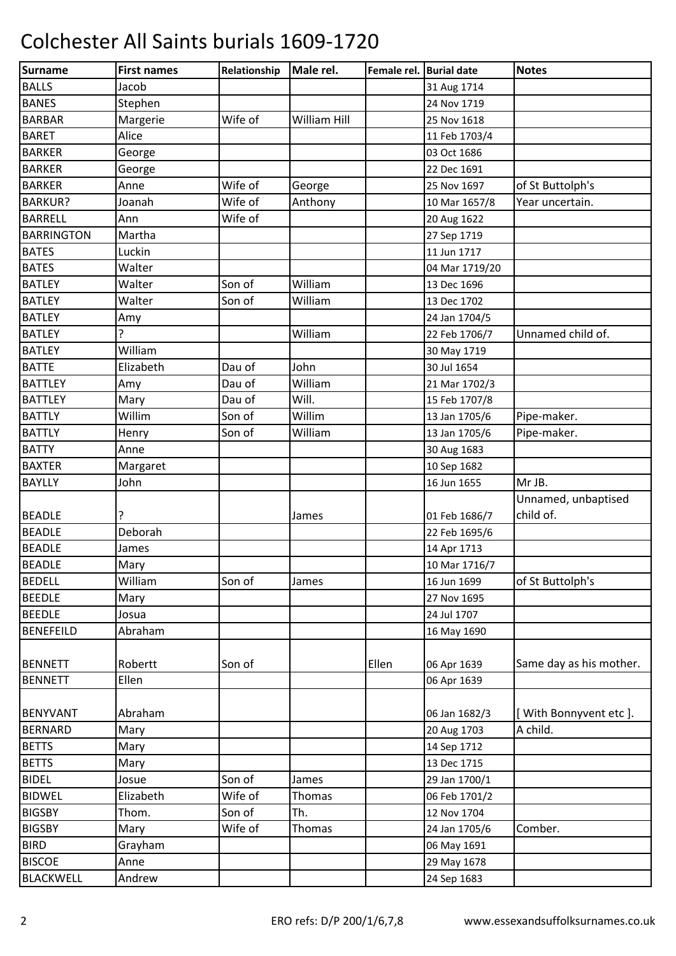| Surname           | <b>First names</b> | Relationship | Male rel.     | Female rel. Burial date |                | <b>Notes</b>            |
|-------------------|--------------------|--------------|---------------|-------------------------|----------------|-------------------------|
| <b>BALLS</b>      | Jacob              |              |               |                         | 31 Aug 1714    |                         |
| <b>BANES</b>      | Stephen            |              |               |                         | 24 Nov 1719    |                         |
| <b>BARBAR</b>     | Margerie           | Wife of      | William Hill  |                         | 25 Nov 1618    |                         |
| <b>BARET</b>      | Alice              |              |               |                         | 11 Feb 1703/4  |                         |
| <b>BARKER</b>     | George             |              |               |                         | 03 Oct 1686    |                         |
| <b>BARKER</b>     | George             |              |               |                         | 22 Dec 1691    |                         |
| <b>BARKER</b>     | Anne               | Wife of      | George        |                         | 25 Nov 1697    | of St Buttolph's        |
| <b>BARKUR?</b>    | Joanah             | Wife of      | Anthony       |                         | 10 Mar 1657/8  | Year uncertain.         |
| <b>BARRELL</b>    | Ann                | Wife of      |               |                         | 20 Aug 1622    |                         |
| <b>BARRINGTON</b> | Martha             |              |               |                         | 27 Sep 1719    |                         |
| <b>BATES</b>      | Luckin             |              |               |                         | 11 Jun 1717    |                         |
| <b>BATES</b>      | Walter             |              |               |                         | 04 Mar 1719/20 |                         |
| <b>BATLEY</b>     | Walter             | Son of       | William       |                         | 13 Dec 1696    |                         |
| <b>BATLEY</b>     | Walter             | Son of       | William       |                         | 13 Dec 1702    |                         |
| <b>BATLEY</b>     | Amy                |              |               |                         | 24 Jan 1704/5  |                         |
| <b>BATLEY</b>     | ŗ                  |              | William       |                         | 22 Feb 1706/7  | Unnamed child of.       |
| <b>BATLEY</b>     | William            |              |               |                         | 30 May 1719    |                         |
| <b>BATTE</b>      | Elizabeth          | Dau of       | John          |                         | 30 Jul 1654    |                         |
| <b>BATTLEY</b>    | Amy                | Dau of       | William       |                         | 21 Mar 1702/3  |                         |
| <b>BATTLEY</b>    | Mary               | Dau of       | Will.         |                         | 15 Feb 1707/8  |                         |
| <b>BATTLY</b>     | Willim             | Son of       | Willim        |                         | 13 Jan 1705/6  | Pipe-maker.             |
| <b>BATTLY</b>     | Henry              | Son of       | William       |                         | 13 Jan 1705/6  | Pipe-maker.             |
| <b>BATTY</b>      | Anne               |              |               |                         | 30 Aug 1683    |                         |
| <b>BAXTER</b>     | Margaret           |              |               |                         | 10 Sep 1682    |                         |
| <b>BAYLLY</b>     | John               |              |               |                         | 16 Jun 1655    | Mr JB.                  |
|                   |                    |              |               |                         |                | Unnamed, unbaptised     |
| <b>BEADLE</b>     | ŗ                  |              | James         |                         | 01 Feb 1686/7  | child of.               |
| <b>BEADLE</b>     | Deborah            |              |               |                         | 22 Feb 1695/6  |                         |
| <b>BEADLE</b>     | James              |              |               |                         | 14 Apr 1713    |                         |
| <b>BEADLE</b>     | Mary               |              |               |                         | 10 Mar 1716/7  |                         |
| <b>BEDELL</b>     | William            | Son of       | James         |                         | 16 Jun 1699    | of St Buttolph's        |
| <b>BEEDLE</b>     | Mary               |              |               |                         | 27 Nov 1695    |                         |
| <b>BEEDLE</b>     | Josua              |              |               |                         | 24 Jul 1707    |                         |
| <b>BENEFEILD</b>  | Abraham            |              |               |                         | 16 May 1690    |                         |
|                   |                    |              |               |                         |                |                         |
| <b>BENNETT</b>    | Robertt            | Son of       |               | Ellen                   | 06 Apr 1639    | Same day as his mother. |
| <b>BENNETT</b>    | Ellen              |              |               |                         | 06 Apr 1639    |                         |
|                   |                    |              |               |                         |                |                         |
| <b>BENYVANT</b>   | Abraham            |              |               |                         | 06 Jan 1682/3  | [With Bonnyvent etc].   |
| <b>BERNARD</b>    | Mary               |              |               |                         | 20 Aug 1703    | A child.                |
| <b>BETTS</b>      | Mary               |              |               |                         | 14 Sep 1712    |                         |
| <b>BETTS</b>      | Mary               |              |               |                         | 13 Dec 1715    |                         |
| <b>BIDEL</b>      | Josue              | Son of       | James         |                         | 29 Jan 1700/1  |                         |
| <b>BIDWEL</b>     | Elizabeth          | Wife of      | <b>Thomas</b> |                         | 06 Feb 1701/2  |                         |
| <b>BIGSBY</b>     | Thom.              | Son of       | Th.           |                         | 12 Nov 1704    |                         |
| <b>BIGSBY</b>     | Mary               | Wife of      | <b>Thomas</b> |                         | 24 Jan 1705/6  | Comber.                 |
| <b>BIRD</b>       | Grayham            |              |               |                         | 06 May 1691    |                         |
| <b>BISCOE</b>     | Anne               |              |               |                         | 29 May 1678    |                         |
| <b>BLACKWELL</b>  | Andrew             |              |               |                         | 24 Sep 1683    |                         |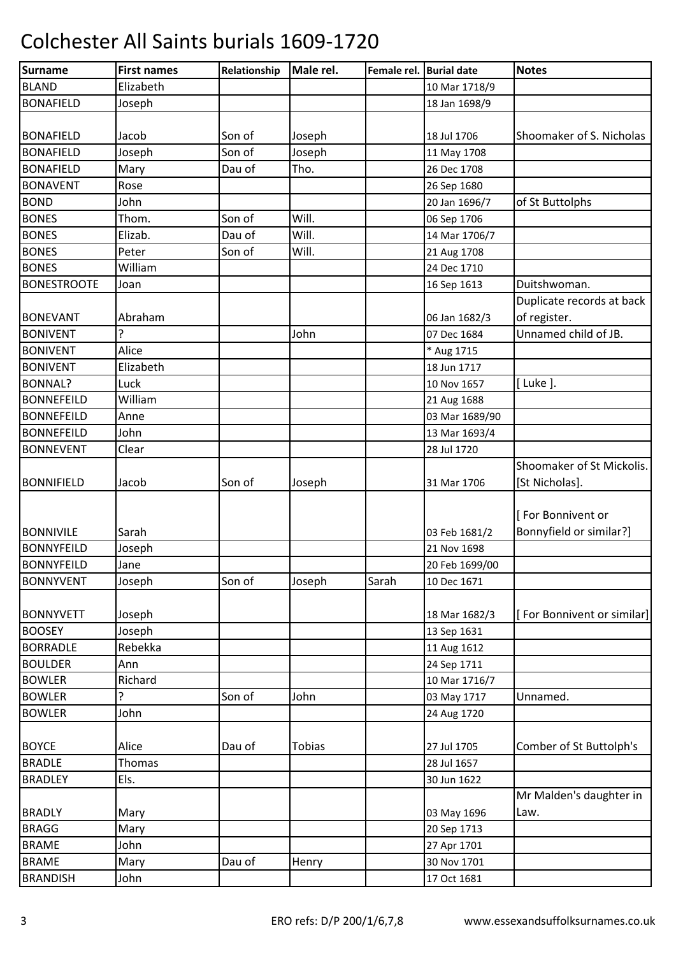| Surname            | <b>First names</b> | Relationship | Male rel.     | Female rel. Burial date |                | <b>Notes</b>               |
|--------------------|--------------------|--------------|---------------|-------------------------|----------------|----------------------------|
| <b>BLAND</b>       | Elizabeth          |              |               |                         | 10 Mar 1718/9  |                            |
| <b>BONAFIELD</b>   | Joseph             |              |               |                         | 18 Jan 1698/9  |                            |
|                    |                    |              |               |                         |                |                            |
| <b>BONAFIELD</b>   | Jacob              | Son of       | Joseph        |                         | 18 Jul 1706    | Shoomaker of S. Nicholas   |
| <b>BONAFIELD</b>   | Joseph             | Son of       | Joseph        |                         | 11 May 1708    |                            |
| <b>BONAFIELD</b>   | Mary               | Dau of       | Tho.          |                         | 26 Dec 1708    |                            |
| <b>BONAVENT</b>    | Rose               |              |               |                         | 26 Sep 1680    |                            |
| <b>BOND</b>        | John               |              |               |                         | 20 Jan 1696/7  | of St Buttolphs            |
| <b>BONES</b>       | Thom.              | Son of       | Will.         |                         | 06 Sep 1706    |                            |
| <b>BONES</b>       | Elizab.            | Dau of       | Will.         |                         | 14 Mar 1706/7  |                            |
| <b>BONES</b>       | Peter              | Son of       | Will.         |                         | 21 Aug 1708    |                            |
| <b>BONES</b>       | William            |              |               |                         | 24 Dec 1710    |                            |
| <b>BONESTROOTE</b> | Joan               |              |               |                         | 16 Sep 1613    | Duitshwoman.               |
|                    |                    |              |               |                         |                | Duplicate records at back  |
| <b>BONEVANT</b>    | Abraham            |              |               |                         | 06 Jan 1682/3  | of register.               |
| <b>BONIVENT</b>    |                    |              | John          |                         | 07 Dec 1684    | Unnamed child of JB.       |
| <b>BONIVENT</b>    | Alice              |              |               |                         | * Aug 1715     |                            |
| <b>BONIVENT</b>    | Elizabeth          |              |               |                         | 18 Jun 1717    |                            |
| <b>BONNAL?</b>     | Luck               |              |               |                         | 10 Nov 1657    | [ Luke ].                  |
| <b>BONNEFEILD</b>  | William            |              |               |                         | 21 Aug 1688    |                            |
| <b>BONNEFEILD</b>  | Anne               |              |               |                         | 03 Mar 1689/90 |                            |
| <b>BONNEFEILD</b>  | John               |              |               |                         | 13 Mar 1693/4  |                            |
| <b>BONNEVENT</b>   | Clear              |              |               |                         | 28 Jul 1720    |                            |
|                    |                    |              |               |                         |                | Shoomaker of St Mickolis.  |
| <b>BONNIFIELD</b>  | Jacob              | Son of       | Joseph        |                         | 31 Mar 1706    | [St Nicholas].             |
|                    |                    |              |               |                         |                |                            |
|                    |                    |              |               |                         |                | [For Bonnivent or          |
| <b>BONNIVILE</b>   | Sarah              |              |               |                         | 03 Feb 1681/2  | Bonnyfield or similar?]    |
| <b>BONNYFEILD</b>  | Joseph             |              |               |                         | 21 Nov 1698    |                            |
| <b>BONNYFEILD</b>  | Jane               |              |               |                         | 20 Feb 1699/00 |                            |
| <b>BONNYVENT</b>   | Joseph             | Son of       | Joseph        | Sarah                   | 10 Dec 1671    |                            |
|                    |                    |              |               |                         |                |                            |
| <b>BONNYVETT</b>   | Joseph             |              |               |                         | 18 Mar 1682/3  | [For Bonnivent or similar] |
| <b>BOOSEY</b>      | Joseph             |              |               |                         | 13 Sep 1631    |                            |
| <b>BORRADLE</b>    | Rebekka            |              |               |                         | 11 Aug 1612    |                            |
| <b>BOULDER</b>     | Ann                |              |               |                         | 24 Sep 1711    |                            |
| <b>BOWLER</b>      | Richard            |              |               |                         | 10 Mar 1716/7  |                            |
| <b>BOWLER</b>      | 5.                 | Son of       | John          |                         | 03 May 1717    | Unnamed.                   |
| <b>BOWLER</b>      | John               |              |               |                         | 24 Aug 1720    |                            |
|                    |                    |              |               |                         |                |                            |
| <b>BOYCE</b>       | Alice              | Dau of       | <b>Tobias</b> |                         | 27 Jul 1705    | Comber of St Buttolph's    |
| <b>BRADLE</b>      | Thomas             |              |               |                         | 28 Jul 1657    |                            |
| <b>BRADLEY</b>     | Els.               |              |               |                         | 30 Jun 1622    |                            |
|                    |                    |              |               |                         |                | Mr Malden's daughter in    |
| <b>BRADLY</b>      | Mary               |              |               |                         | 03 May 1696    | Law.                       |
| <b>BRAGG</b>       | Mary               |              |               |                         | 20 Sep 1713    |                            |
| <b>BRAME</b>       | John               |              |               |                         | 27 Apr 1701    |                            |
| <b>BRAME</b>       | Mary               | Dau of       | Henry         |                         | 30 Nov 1701    |                            |
| <b>BRANDISH</b>    | John               |              |               |                         | 17 Oct 1681    |                            |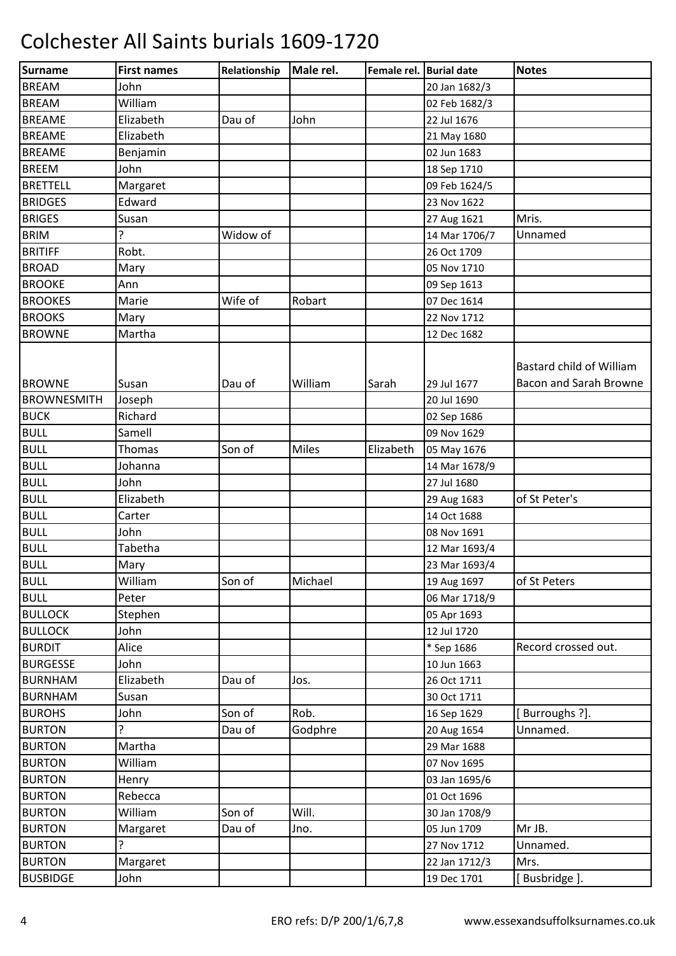| <b>Surname</b>     | <b>First names</b> | Relationship | Male rel.    | Female rel. Burial date |               | <b>Notes</b>                                       |
|--------------------|--------------------|--------------|--------------|-------------------------|---------------|----------------------------------------------------|
| <b>BREAM</b>       | John               |              |              |                         | 20 Jan 1682/3 |                                                    |
| <b>BREAM</b>       | William            |              |              |                         | 02 Feb 1682/3 |                                                    |
| <b>BREAME</b>      | Elizabeth          | Dau of       | John         |                         | 22 Jul 1676   |                                                    |
| <b>BREAME</b>      | Elizabeth          |              |              |                         | 21 May 1680   |                                                    |
| <b>BREAME</b>      | Benjamin           |              |              |                         | 02 Jun 1683   |                                                    |
| <b>BREEM</b>       | John               |              |              |                         | 18 Sep 1710   |                                                    |
| <b>BRETTELL</b>    | Margaret           |              |              |                         | 09 Feb 1624/5 |                                                    |
| <b>BRIDGES</b>     | Edward             |              |              |                         | 23 Nov 1622   |                                                    |
| <b>BRIGES</b>      | Susan              |              |              |                         | 27 Aug 1621   | Mris.                                              |
| <b>BRIM</b>        | Ç                  | Widow of     |              |                         | 14 Mar 1706/7 | Unnamed                                            |
| <b>BRITIFF</b>     | Robt.              |              |              |                         | 26 Oct 1709   |                                                    |
| <b>BROAD</b>       | Mary               |              |              |                         | 05 Nov 1710   |                                                    |
| <b>BROOKE</b>      | Ann                |              |              |                         | 09 Sep 1613   |                                                    |
| <b>BROOKES</b>     | Marie              | Wife of      | Robart       |                         | 07 Dec 1614   |                                                    |
| <b>BROOKS</b>      | Mary               |              |              |                         | 22 Nov 1712   |                                                    |
| <b>BROWNE</b>      | Martha             |              |              |                         | 12 Dec 1682   |                                                    |
| <b>BROWNE</b>      | Susan              | Dau of       | William      | Sarah                   | 29 Jul 1677   | Bastard child of William<br>Bacon and Sarah Browne |
| <b>BROWNESMITH</b> | Joseph             |              |              |                         | 20 Jul 1690   |                                                    |
| <b>BUCK</b>        | Richard            |              |              |                         | 02 Sep 1686   |                                                    |
| <b>BULL</b>        | Samell             |              |              |                         | 09 Nov 1629   |                                                    |
| <b>BULL</b>        | Thomas             | Son of       | <b>Miles</b> | Elizabeth               | 05 May 1676   |                                                    |
| <b>BULL</b>        | Johanna            |              |              |                         | 14 Mar 1678/9 |                                                    |
| <b>BULL</b>        | John               |              |              |                         | 27 Jul 1680   |                                                    |
| <b>BULL</b>        | Elizabeth          |              |              |                         | 29 Aug 1683   | of St Peter's                                      |
| <b>BULL</b>        | Carter             |              |              |                         | 14 Oct 1688   |                                                    |
| <b>BULL</b>        | John               |              |              |                         | 08 Nov 1691   |                                                    |
| <b>BULL</b>        | Tabetha            |              |              |                         | 12 Mar 1693/4 |                                                    |
| <b>BULL</b>        | Mary               |              |              |                         | 23 Mar 1693/4 |                                                    |
| <b>BULL</b>        | William            | Son of       | Michael      |                         | 19 Aug 1697   | of St Peters                                       |
| <b>BULL</b>        | Peter              |              |              |                         | 06 Mar 1718/9 |                                                    |
| <b>BULLOCK</b>     | Stephen            |              |              |                         | 05 Apr 1693   |                                                    |
| <b>BULLOCK</b>     | John               |              |              |                         | 12 Jul 1720   |                                                    |
| <b>BURDIT</b>      | Alice              |              |              |                         | * Sep 1686    | Record crossed out.                                |
| <b>BURGESSE</b>    | John               |              |              |                         | 10 Jun 1663   |                                                    |
| <b>BURNHAM</b>     | Elizabeth          | Dau of       | Jos.         |                         | 26 Oct 1711   |                                                    |
| <b>BURNHAM</b>     | Susan              |              |              |                         | 30 Oct 1711   |                                                    |
| <b>BUROHS</b>      | John               | Son of       | Rob.         |                         | 16 Sep 1629   | [Burroughs ?].                                     |
| <b>BURTON</b>      | ?                  | Dau of       | Godphre      |                         | 20 Aug 1654   | Unnamed.                                           |
| <b>BURTON</b>      | Martha             |              |              |                         | 29 Mar 1688   |                                                    |
| <b>BURTON</b>      | William            |              |              |                         | 07 Nov 1695   |                                                    |
| <b>BURTON</b>      | Henry              |              |              |                         | 03 Jan 1695/6 |                                                    |
| <b>BURTON</b>      | Rebecca            |              |              |                         | 01 Oct 1696   |                                                    |
| <b>BURTON</b>      | William            | Son of       | Will.        |                         | 30 Jan 1708/9 |                                                    |
| <b>BURTON</b>      | Margaret           | Dau of       | Jno.         |                         | 05 Jun 1709   | Mr JB.                                             |
| <b>BURTON</b>      | ŗ                  |              |              |                         | 27 Nov 1712   | Unnamed.                                           |
| <b>BURTON</b>      | Margaret           |              |              |                         | 22 Jan 1712/3 | Mrs.                                               |
| <b>BUSBIDGE</b>    | John               |              |              |                         | 19 Dec 1701   | [Busbridge].                                       |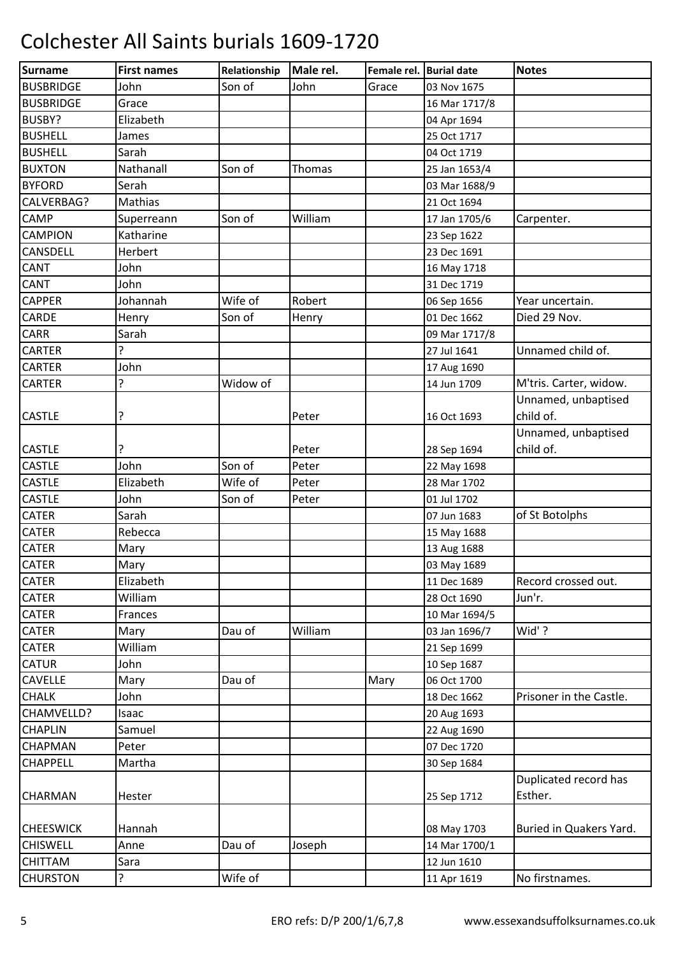| <b>Surname</b>   | <b>First names</b> | Relationship | Male rel.     | Female rel. Burial date |               | <b>Notes</b>            |
|------------------|--------------------|--------------|---------------|-------------------------|---------------|-------------------------|
| <b>BUSBRIDGE</b> | John               | Son of       | John          | Grace                   | 03 Nov 1675   |                         |
| <b>BUSBRIDGE</b> | Grace              |              |               |                         | 16 Mar 1717/8 |                         |
| BUSBY?           | Elizabeth          |              |               |                         | 04 Apr 1694   |                         |
| <b>BUSHELL</b>   | James              |              |               |                         | 25 Oct 1717   |                         |
| <b>BUSHELL</b>   | Sarah              |              |               |                         | 04 Oct 1719   |                         |
| <b>BUXTON</b>    | Nathanall          | Son of       | <b>Thomas</b> |                         | 25 Jan 1653/4 |                         |
| <b>BYFORD</b>    | Serah              |              |               |                         | 03 Mar 1688/9 |                         |
| CALVERBAG?       | Mathias            |              |               |                         | 21 Oct 1694   |                         |
| <b>CAMP</b>      | Superreann         | Son of       | William       |                         | 17 Jan 1705/6 | Carpenter.              |
| <b>CAMPION</b>   | Katharine          |              |               |                         | 23 Sep 1622   |                         |
| <b>CANSDELL</b>  | Herbert            |              |               |                         | 23 Dec 1691   |                         |
| <b>CANT</b>      | John               |              |               |                         | 16 May 1718   |                         |
| <b>CANT</b>      | John               |              |               |                         | 31 Dec 1719   |                         |
| <b>CAPPER</b>    | Johannah           | Wife of      | Robert        |                         | 06 Sep 1656   | Year uncertain.         |
| <b>CARDE</b>     | Henry              | Son of       | Henry         |                         | 01 Dec 1662   | Died 29 Nov.            |
| CARR             | Sarah              |              |               |                         | 09 Mar 1717/8 |                         |
| <b>CARTER</b>    | 5.                 |              |               |                         | 27 Jul 1641   | Unnamed child of.       |
| <b>CARTER</b>    | John               |              |               |                         | 17 Aug 1690   |                         |
| <b>CARTER</b>    | ?                  | Widow of     |               |                         | 14 Jun 1709   | M'tris. Carter, widow.  |
|                  |                    |              |               |                         |               | Unnamed, unbaptised     |
| <b>CASTLE</b>    | ?                  |              | Peter         |                         | 16 Oct 1693   | child of.               |
|                  |                    |              |               |                         |               | Unnamed, unbaptised     |
| <b>CASTLE</b>    | ?                  |              | Peter         |                         | 28 Sep 1694   | child of.               |
| <b>CASTLE</b>    | John               | Son of       | Peter         |                         | 22 May 1698   |                         |
| <b>CASTLE</b>    | Elizabeth          | Wife of      | Peter         |                         | 28 Mar 1702   |                         |
| <b>CASTLE</b>    | John               | Son of       | Peter         |                         | 01 Jul 1702   |                         |
| <b>CATER</b>     | Sarah              |              |               |                         | 07 Jun 1683   | of St Botolphs          |
| <b>CATER</b>     | Rebecca            |              |               |                         | 15 May 1688   |                         |
| <b>CATER</b>     | Mary               |              |               |                         | 13 Aug 1688   |                         |
| <b>CATER</b>     | Mary               |              |               |                         | 03 May 1689   |                         |
| <b>CATER</b>     | Elizabeth          |              |               |                         | 11 Dec 1689   | Record crossed out.     |
| <b>CATER</b>     | William            |              |               |                         | 28 Oct 1690   | Jun'r.                  |
| <b>CATER</b>     | Frances            |              |               |                         | 10 Mar 1694/5 |                         |
| <b>CATER</b>     | Mary               | Dau of       | William       |                         | 03 Jan 1696/7 | Wid'?                   |
| <b>CATER</b>     | William            |              |               |                         | 21 Sep 1699   |                         |
| <b>CATUR</b>     | John               |              |               |                         | 10 Sep 1687   |                         |
| <b>CAVELLE</b>   | Mary               | Dau of       |               | Mary                    | 06 Oct 1700   |                         |
| <b>CHALK</b>     | John               |              |               |                         | 18 Dec 1662   | Prisoner in the Castle. |
| CHAMVELLD?       | Isaac              |              |               |                         | 20 Aug 1693   |                         |
| <b>CHAPLIN</b>   | Samuel             |              |               |                         | 22 Aug 1690   |                         |
| <b>CHAPMAN</b>   | Peter              |              |               |                         | 07 Dec 1720   |                         |
| <b>CHAPPELL</b>  | Martha             |              |               |                         | 30 Sep 1684   |                         |
|                  |                    |              |               |                         |               | Duplicated record has   |
| <b>CHARMAN</b>   | Hester             |              |               |                         | 25 Sep 1712   | Esther.                 |
|                  |                    |              |               |                         |               |                         |
| <b>CHEESWICK</b> | Hannah             |              |               |                         | 08 May 1703   | Buried in Quakers Yard. |
| <b>CHISWELL</b>  | Anne               | Dau of       | Joseph        |                         | 14 Mar 1700/1 |                         |
| <b>CHITTAM</b>   | Sara               |              |               |                         | 12 Jun 1610   |                         |
| <b>CHURSTON</b>  | 5.                 | Wife of      |               |                         | 11 Apr 1619   | No firstnames.          |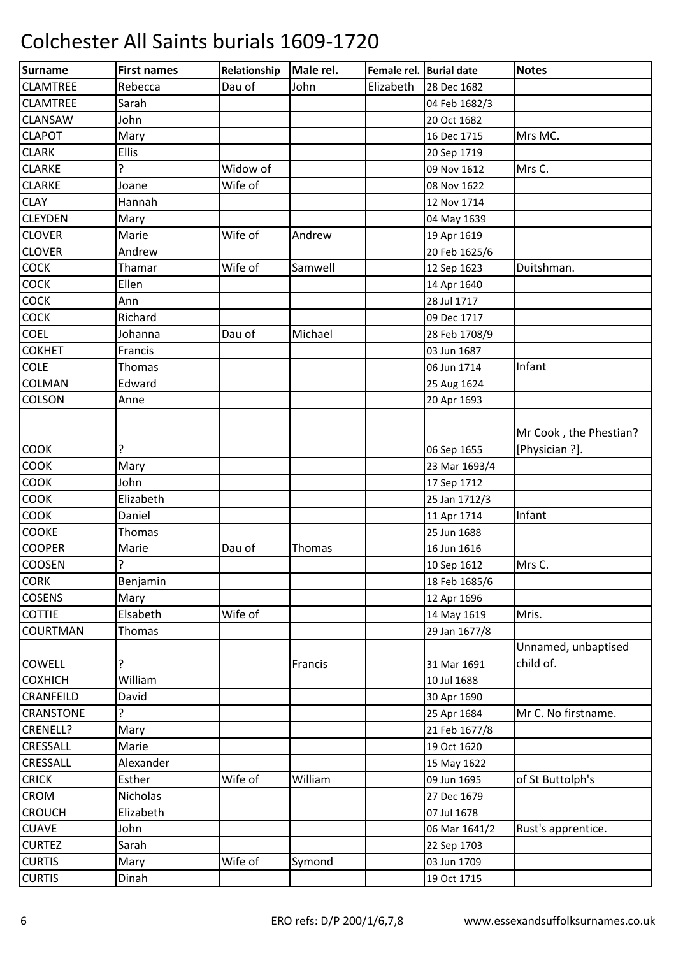| Surname          | <b>First names</b> | Relationship | Male rel.     | Female rel. Burial date |               | <b>Notes</b>                             |
|------------------|--------------------|--------------|---------------|-------------------------|---------------|------------------------------------------|
| <b>CLAMTREE</b>  | Rebecca            | Dau of       | John          | Elizabeth               | 28 Dec 1682   |                                          |
| <b>CLAMTREE</b>  | Sarah              |              |               |                         | 04 Feb 1682/3 |                                          |
| <b>CLANSAW</b>   | John               |              |               |                         | 20 Oct 1682   |                                          |
| <b>CLAPOT</b>    | Mary               |              |               |                         | 16 Dec 1715   | Mrs MC.                                  |
| <b>CLARK</b>     | <b>Ellis</b>       |              |               |                         | 20 Sep 1719   |                                          |
| <b>CLARKE</b>    | 5.                 | Widow of     |               |                         | 09 Nov 1612   | Mrs C.                                   |
| <b>CLARKE</b>    | Joane              | Wife of      |               |                         | 08 Nov 1622   |                                          |
| <b>CLAY</b>      | Hannah             |              |               |                         | 12 Nov 1714   |                                          |
| <b>CLEYDEN</b>   | Mary               |              |               |                         | 04 May 1639   |                                          |
| <b>CLOVER</b>    | Marie              | Wife of      | Andrew        |                         | 19 Apr 1619   |                                          |
| <b>CLOVER</b>    | Andrew             |              |               |                         | 20 Feb 1625/6 |                                          |
| <b>COCK</b>      | Thamar             | Wife of      | Samwell       |                         | 12 Sep 1623   | Duitshman.                               |
| <b>COCK</b>      | Ellen              |              |               |                         | 14 Apr 1640   |                                          |
| COCK             | Ann                |              |               |                         | 28 Jul 1717   |                                          |
| <b>COCK</b>      | Richard            |              |               |                         | 09 Dec 1717   |                                          |
| <b>COEL</b>      | Johanna            | Dau of       | Michael       |                         | 28 Feb 1708/9 |                                          |
| <b>COKHET</b>    | Francis            |              |               |                         | 03 Jun 1687   |                                          |
| <b>COLE</b>      | Thomas             |              |               |                         | 06 Jun 1714   | Infant                                   |
| <b>COLMAN</b>    | Edward             |              |               |                         | 25 Aug 1624   |                                          |
| <b>COLSON</b>    | Anne               |              |               |                         | 20 Apr 1693   |                                          |
| <b>COOK</b>      | ŗ                  |              |               |                         | 06 Sep 1655   | Mr Cook, the Phestian?<br>[Physician ?]. |
| <b>COOK</b>      | Mary               |              |               |                         | 23 Mar 1693/4 |                                          |
| <b>COOK</b>      | John               |              |               |                         | 17 Sep 1712   |                                          |
| COOK             | Elizabeth          |              |               |                         | 25 Jan 1712/3 |                                          |
| <b>COOK</b>      | Daniel             |              |               |                         | 11 Apr 1714   | Infant                                   |
| COOKE            | Thomas             |              |               |                         | 25 Jun 1688   |                                          |
| <b>COOPER</b>    | Marie              | Dau of       | <b>Thomas</b> |                         | 16 Jun 1616   |                                          |
| <b>COOSEN</b>    | ŗ                  |              |               |                         | 10 Sep 1612   | Mrs C.                                   |
| <b>CORK</b>      | Benjamin           |              |               |                         | 18 Feb 1685/6 |                                          |
| <b>COSENS</b>    | Mary               |              |               |                         | 12 Apr 1696   |                                          |
| <b>COTTIE</b>    | Elsabeth           | Wife of      |               |                         | 14 May 1619   | Mris.                                    |
| <b>COURTMAN</b>  | <b>Thomas</b>      |              |               |                         | 29 Jan 1677/8 |                                          |
| <b>COWELL</b>    | ?                  |              | Francis       |                         | 31 Mar 1691   | Unnamed, unbaptised<br>child of.         |
| <b>COXHICH</b>   | William            |              |               |                         | 10 Jul 1688   |                                          |
| <b>CRANFEILD</b> | David              |              |               |                         | 30 Apr 1690   |                                          |
| <b>CRANSTONE</b> | 5.                 |              |               |                         | 25 Apr 1684   | Mr C. No firstname.                      |
| CRENELL?         | Mary               |              |               |                         | 21 Feb 1677/8 |                                          |
| <b>CRESSALL</b>  | Marie              |              |               |                         | 19 Oct 1620   |                                          |
| CRESSALL         | Alexander          |              |               |                         | 15 May 1622   |                                          |
| <b>CRICK</b>     | Esther             | Wife of      | William       |                         | 09 Jun 1695   | of St Buttolph's                         |
| <b>CROM</b>      | Nicholas           |              |               |                         | 27 Dec 1679   |                                          |
| <b>CROUCH</b>    | Elizabeth          |              |               |                         | 07 Jul 1678   |                                          |
| <b>CUAVE</b>     | John               |              |               |                         | 06 Mar 1641/2 | Rust's apprentice.                       |
| <b>CURTEZ</b>    | Sarah              |              |               |                         | 22 Sep 1703   |                                          |
| <b>CURTIS</b>    | Mary               | Wife of      | Symond        |                         | 03 Jun 1709   |                                          |
| <b>CURTIS</b>    | Dinah              |              |               |                         | 19 Oct 1715   |                                          |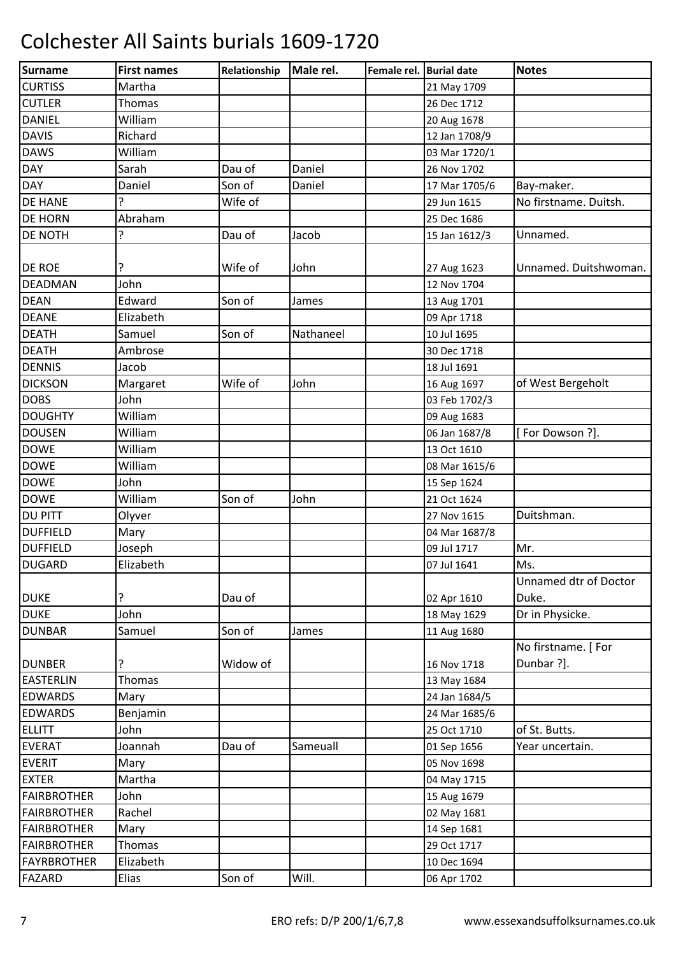| Surname            | <b>First names</b> | Relationship | Male rel. | Female rel. Burial date |               | <b>Notes</b>          |
|--------------------|--------------------|--------------|-----------|-------------------------|---------------|-----------------------|
| <b>CURTISS</b>     | Martha             |              |           |                         | 21 May 1709   |                       |
| <b>CUTLER</b>      | Thomas             |              |           |                         | 26 Dec 1712   |                       |
| <b>DANIEL</b>      | William            |              |           |                         | 20 Aug 1678   |                       |
| <b>DAVIS</b>       | Richard            |              |           |                         | 12 Jan 1708/9 |                       |
| <b>DAWS</b>        | William            |              |           |                         | 03 Mar 1720/1 |                       |
| <b>DAY</b>         | Sarah              | Dau of       | Daniel    |                         | 26 Nov 1702   |                       |
| <b>DAY</b>         | Daniel             | Son of       | Daniel    |                         | 17 Mar 1705/6 | Bay-maker.            |
| <b>DE HANE</b>     | Ģ                  | Wife of      |           |                         | 29 Jun 1615   | No firstname. Duitsh. |
| <b>DE HORN</b>     | Abraham            |              |           |                         | 25 Dec 1686   |                       |
| <b>DE NOTH</b>     | ?                  | Dau of       | Jacob     |                         | 15 Jan 1612/3 | Unnamed.              |
|                    |                    |              |           |                         |               |                       |
| <b>DE ROE</b>      | ?                  | Wife of      | John      |                         | 27 Aug 1623   | Unnamed. Duitshwoman. |
| <b>DEADMAN</b>     | John               |              |           |                         | 12 Nov 1704   |                       |
| <b>DEAN</b>        | Edward             | Son of       | James     |                         | 13 Aug 1701   |                       |
| <b>DEANE</b>       | Elizabeth          |              |           |                         | 09 Apr 1718   |                       |
| <b>DEATH</b>       | Samuel             | Son of       | Nathaneel |                         | 10 Jul 1695   |                       |
| <b>DEATH</b>       | Ambrose            |              |           |                         | 30 Dec 1718   |                       |
| <b>DENNIS</b>      | Jacob              |              |           |                         | 18 Jul 1691   |                       |
| <b>DICKSON</b>     | Margaret           | Wife of      | John      |                         | 16 Aug 1697   | of West Bergeholt     |
| <b>DOBS</b>        | John               |              |           |                         | 03 Feb 1702/3 |                       |
| <b>DOUGHTY</b>     | William            |              |           |                         | 09 Aug 1683   |                       |
| <b>DOUSEN</b>      | William            |              |           |                         | 06 Jan 1687/8 | [For Dowson ?].       |
| <b>DOWE</b>        | William            |              |           |                         | 13 Oct 1610   |                       |
| <b>DOWE</b>        | William            |              |           |                         | 08 Mar 1615/6 |                       |
| <b>DOWE</b>        | John               |              |           |                         | 15 Sep 1624   |                       |
| <b>DOWE</b>        | William            | Son of       | John      |                         | 21 Oct 1624   |                       |
| <b>DU PITT</b>     | Olyver             |              |           |                         | 27 Nov 1615   | Duitshman.            |
| <b>DUFFIELD</b>    | Mary               |              |           |                         | 04 Mar 1687/8 |                       |
| <b>DUFFIELD</b>    | Joseph             |              |           |                         | 09 Jul 1717   | Mr.                   |
| <b>DUGARD</b>      | Elizabeth          |              |           |                         | 07 Jul 1641   | Ms.                   |
|                    |                    |              |           |                         |               | Unnamed dtr of Doctor |
| <b>DUKE</b>        | ?                  | Dau of       |           |                         | 02 Apr 1610   | Duke.                 |
| <b>DUKE</b>        | John               |              |           |                         | 18 May 1629   | Dr in Physicke.       |
| <b>DUNBAR</b>      | Samuel             | Son of       | James     |                         | 11 Aug 1680   |                       |
|                    |                    |              |           |                         |               | No firstname. [For    |
| <b>DUNBER</b>      | 5                  | Widow of     |           |                         | 16 Nov 1718   | Dunbar ?].            |
| <b>EASTERLIN</b>   | Thomas             |              |           |                         | 13 May 1684   |                       |
| <b>EDWARDS</b>     | Mary               |              |           |                         | 24 Jan 1684/5 |                       |
| <b>EDWARDS</b>     | Benjamin           |              |           |                         | 24 Mar 1685/6 |                       |
| <b>ELLITT</b>      | John               |              |           |                         | 25 Oct 1710   | of St. Butts.         |
| <b>EVERAT</b>      | Joannah            | Dau of       | Sameuall  |                         | 01 Sep 1656   | Year uncertain.       |
| <b>EVERIT</b>      | Mary               |              |           |                         | 05 Nov 1698   |                       |
| <b>EXTER</b>       | Martha             |              |           |                         | 04 May 1715   |                       |
| <b>FAIRBROTHER</b> | John               |              |           |                         | 15 Aug 1679   |                       |
| <b>FAIRBROTHER</b> | Rachel             |              |           |                         | 02 May 1681   |                       |
| <b>FAIRBROTHER</b> | Mary               |              |           |                         | 14 Sep 1681   |                       |
| <b>FAIRBROTHER</b> | Thomas             |              |           |                         | 29 Oct 1717   |                       |
| <b>FAYRBROTHER</b> | Elizabeth          |              |           |                         | 10 Dec 1694   |                       |
| <b>FAZARD</b>      | Elias              | Son of       | Will.     |                         | 06 Apr 1702   |                       |
|                    |                    |              |           |                         |               |                       |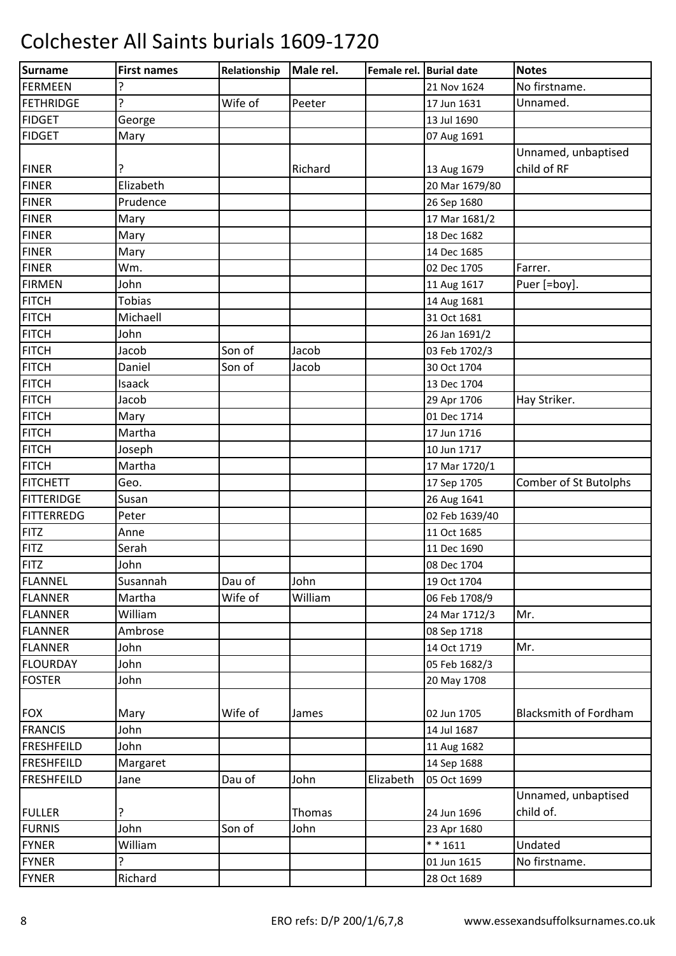| <b>Surname</b>    | <b>First names</b> | Relationship | Male rel. | Female rel. Burial date |                | <b>Notes</b>                     |
|-------------------|--------------------|--------------|-----------|-------------------------|----------------|----------------------------------|
| <b>FERMEEN</b>    |                    |              |           |                         | 21 Nov 1624    | No firstname.                    |
| <b>FETHRIDGE</b>  | 5.                 | Wife of      | Peeter    |                         | 17 Jun 1631    | Unnamed.                         |
| <b>FIDGET</b>     | George             |              |           |                         | 13 Jul 1690    |                                  |
| <b>FIDGET</b>     | Mary               |              |           |                         | 07 Aug 1691    |                                  |
|                   |                    |              |           |                         |                | Unnamed, unbaptised              |
| <b>FINER</b>      | ?                  |              | Richard   |                         | 13 Aug 1679    | child of RF                      |
| <b>FINER</b>      | Elizabeth          |              |           |                         | 20 Mar 1679/80 |                                  |
| <b>FINER</b>      | Prudence           |              |           |                         | 26 Sep 1680    |                                  |
| <b>FINER</b>      | Mary               |              |           |                         | 17 Mar 1681/2  |                                  |
| <b>FINER</b>      | Mary               |              |           |                         | 18 Dec 1682    |                                  |
| <b>FINER</b>      | Mary               |              |           |                         | 14 Dec 1685    |                                  |
| <b>FINER</b>      | Wm.                |              |           |                         | 02 Dec 1705    | Farrer.                          |
| <b>FIRMEN</b>     | John               |              |           |                         | 11 Aug 1617    | Puer [=boy].                     |
| <b>FITCH</b>      | <b>Tobias</b>      |              |           |                         | 14 Aug 1681    |                                  |
| <b>FITCH</b>      | Michaell           |              |           |                         | 31 Oct 1681    |                                  |
| <b>FITCH</b>      | John               |              |           |                         | 26 Jan 1691/2  |                                  |
| <b>FITCH</b>      | Jacob              | Son of       | Jacob     |                         | 03 Feb 1702/3  |                                  |
| <b>FITCH</b>      | Daniel             | Son of       | Jacob     |                         | 30 Oct 1704    |                                  |
| <b>FITCH</b>      | Isaack             |              |           |                         | 13 Dec 1704    |                                  |
| <b>FITCH</b>      | Jacob              |              |           |                         | 29 Apr 1706    | Hay Striker.                     |
| <b>FITCH</b>      | Mary               |              |           |                         | 01 Dec 1714    |                                  |
| <b>FITCH</b>      | Martha             |              |           |                         | 17 Jun 1716    |                                  |
| <b>FITCH</b>      | Joseph             |              |           |                         | 10 Jun 1717    |                                  |
| <b>FITCH</b>      | Martha             |              |           |                         | 17 Mar 1720/1  |                                  |
| <b>FITCHETT</b>   | Geo.               |              |           |                         | 17 Sep 1705    | Comber of St Butolphs            |
| <b>FITTERIDGE</b> | Susan              |              |           |                         | 26 Aug 1641    |                                  |
| <b>FITTERREDG</b> | Peter              |              |           |                         | 02 Feb 1639/40 |                                  |
| <b>FITZ</b>       | Anne               |              |           |                         | 11 Oct 1685    |                                  |
| <b>FITZ</b>       | Serah              |              |           |                         | 11 Dec 1690    |                                  |
| FITZ              | John               |              |           |                         | 08 Dec 1704    |                                  |
| FLANNEL           | Susannah           | Dau of       | John      |                         | 19 Oct 1704    |                                  |
| <b>FLANNER</b>    | Martha             | Wife of      | William   |                         | 06 Feb 1708/9  |                                  |
| <b>FLANNER</b>    | William            |              |           |                         | 24 Mar 1712/3  | Mr.                              |
| <b>FLANNER</b>    | Ambrose            |              |           |                         | 08 Sep 1718    |                                  |
| <b>FLANNER</b>    | John               |              |           |                         | 14 Oct 1719    | Mr.                              |
| <b>FLOURDAY</b>   | John               |              |           |                         | 05 Feb 1682/3  |                                  |
| <b>FOSTER</b>     | John               |              |           |                         | 20 May 1708    |                                  |
| <b>FOX</b>        | Mary               | Wife of      | James     |                         | 02 Jun 1705    | <b>Blacksmith of Fordham</b>     |
| <b>FRANCIS</b>    | John               |              |           |                         | 14 Jul 1687    |                                  |
| <b>FRESHFEILD</b> | John               |              |           |                         | 11 Aug 1682    |                                  |
| <b>FRESHFEILD</b> | Margaret           |              |           |                         | 14 Sep 1688    |                                  |
| <b>FRESHFEILD</b> | Jane               | Dau of       | John      | Elizabeth               | 05 Oct 1699    |                                  |
| <b>FULLER</b>     | ?                  |              | Thomas    |                         | 24 Jun 1696    | Unnamed, unbaptised<br>child of. |
| <b>FURNIS</b>     | John               | Son of       | John      |                         | 23 Apr 1680    |                                  |
| <b>FYNER</b>      | William            |              |           |                         | $* * 1611$     | Undated                          |
| <b>FYNER</b>      | ŗ                  |              |           |                         | 01 Jun 1615    | No firstname.                    |
| <b>FYNER</b>      | Richard            |              |           |                         | 28 Oct 1689    |                                  |
|                   |                    |              |           |                         |                |                                  |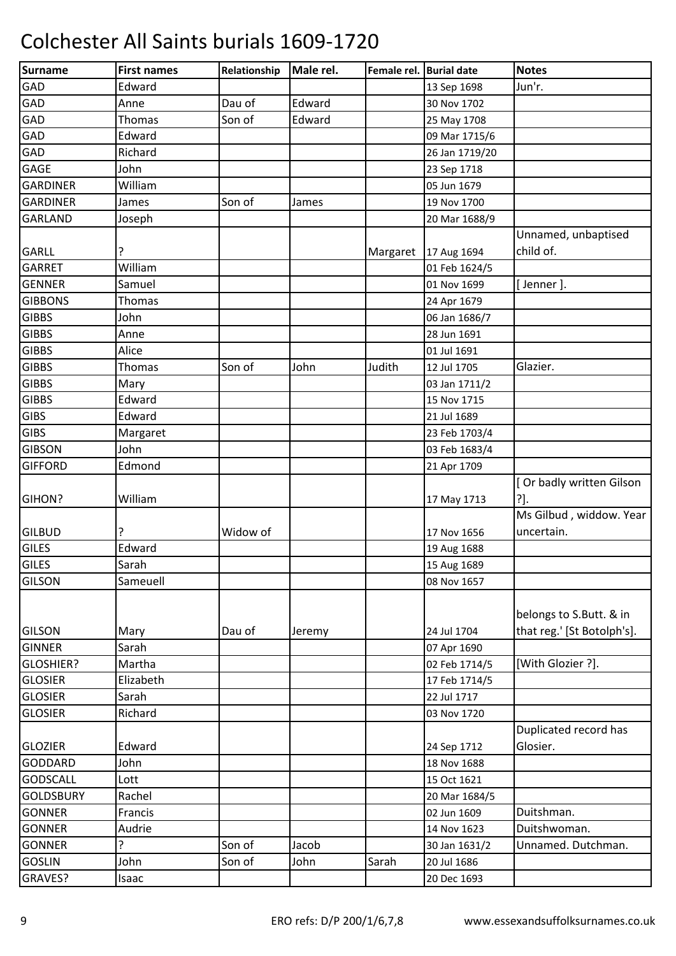| Surname          | <b>First names</b> | Relationship | Male rel. | Female rel. Burial date |                | <b>Notes</b>               |
|------------------|--------------------|--------------|-----------|-------------------------|----------------|----------------------------|
| GAD              | Edward             |              |           |                         | 13 Sep 1698    | Jun'r.                     |
| GAD              | Anne               | Dau of       | Edward    |                         | 30 Nov 1702    |                            |
| GAD              | <b>Thomas</b>      | Son of       | Edward    |                         | 25 May 1708    |                            |
| GAD              | Edward             |              |           |                         | 09 Mar 1715/6  |                            |
| GAD              | Richard            |              |           |                         | 26 Jan 1719/20 |                            |
| <b>GAGE</b>      | John               |              |           |                         | 23 Sep 1718    |                            |
| <b>GARDINER</b>  | William            |              |           |                         | 05 Jun 1679    |                            |
| <b>GARDINER</b>  | James              | Son of       | James     |                         | 19 Nov 1700    |                            |
| <b>GARLAND</b>   | Joseph             |              |           |                         | 20 Mar 1688/9  |                            |
|                  |                    |              |           |                         |                | Unnamed, unbaptised        |
| <b>GARLL</b>     | ?                  |              |           | Margaret                | 17 Aug 1694    | child of.                  |
| <b>GARRET</b>    | William            |              |           |                         | 01 Feb 1624/5  |                            |
| <b>GENNER</b>    | Samuel             |              |           |                         | 01 Nov 1699    | [Jenner].                  |
| <b>GIBBONS</b>   | Thomas             |              |           |                         | 24 Apr 1679    |                            |
| <b>GIBBS</b>     | John               |              |           |                         | 06 Jan 1686/7  |                            |
| <b>GIBBS</b>     | Anne               |              |           |                         | 28 Jun 1691    |                            |
| <b>GIBBS</b>     | Alice              |              |           |                         | 01 Jul 1691    |                            |
| <b>GIBBS</b>     | Thomas             | Son of       | John      | Judith                  | 12 Jul 1705    | Glazier.                   |
| <b>GIBBS</b>     | Mary               |              |           |                         | 03 Jan 1711/2  |                            |
| <b>GIBBS</b>     | Edward             |              |           |                         | 15 Nov 1715    |                            |
| <b>GIBS</b>      | Edward             |              |           |                         | 21 Jul 1689    |                            |
| <b>GIBS</b>      | Margaret           |              |           |                         | 23 Feb 1703/4  |                            |
| <b>GIBSON</b>    | John               |              |           |                         | 03 Feb 1683/4  |                            |
| <b>GIFFORD</b>   | Edmond             |              |           |                         | 21 Apr 1709    |                            |
|                  |                    |              |           |                         |                | [ Or badly written Gilson  |
| <b>GIHON?</b>    | William            |              |           |                         | 17 May 1713    | ?].                        |
|                  |                    |              |           |                         |                | Ms Gilbud, widdow. Year    |
| <b>GILBUD</b>    |                    | Widow of     |           |                         | 17 Nov 1656    | uncertain.                 |
| <b>GILES</b>     | Edward             |              |           |                         | 19 Aug 1688    |                            |
| <b>GILES</b>     | Sarah              |              |           |                         | 15 Aug 1689    |                            |
| <b>GILSON</b>    | Sameuell           |              |           |                         | 08 Nov 1657    |                            |
|                  |                    |              |           |                         |                |                            |
|                  |                    |              |           |                         |                | belongs to S.Butt. & in    |
| <b>GILSON</b>    | Mary               | Dau of       | Jeremy    |                         | 24 Jul 1704    | that reg.' [St Botolph's]. |
| <b>GINNER</b>    | Sarah              |              |           |                         | 07 Apr 1690    |                            |
| <b>GLOSHIER?</b> | Martha             |              |           |                         | 02 Feb 1714/5  | [With Glozier ?].          |
| <b>GLOSIER</b>   | Elizabeth          |              |           |                         | 17 Feb 1714/5  |                            |
| <b>GLOSIER</b>   | Sarah              |              |           |                         | 22 Jul 1717    |                            |
| <b>GLOSIER</b>   | Richard            |              |           |                         | 03 Nov 1720    |                            |
|                  |                    |              |           |                         |                | Duplicated record has      |
| <b>GLOZIER</b>   | Edward             |              |           |                         | 24 Sep 1712    | Glosier.                   |
| GODDARD          | John               |              |           |                         | 18 Nov 1688    |                            |
| <b>GODSCALL</b>  | Lott               |              |           |                         | 15 Oct 1621    |                            |
| <b>GOLDSBURY</b> | Rachel             |              |           |                         | 20 Mar 1684/5  |                            |
| <b>GONNER</b>    | Francis            |              |           |                         | 02 Jun 1609    | Duitshman.                 |
| <b>GONNER</b>    | Audrie             |              |           |                         | 14 Nov 1623    | Duitshwoman.               |
| <b>GONNER</b>    | ?                  | Son of       | Jacob     |                         | 30 Jan 1631/2  | Unnamed. Dutchman.         |
| <b>GOSLIN</b>    | John               | Son of       | John      | Sarah                   | 20 Jul 1686    |                            |
| GRAVES?          | Isaac              |              |           |                         | 20 Dec 1693    |                            |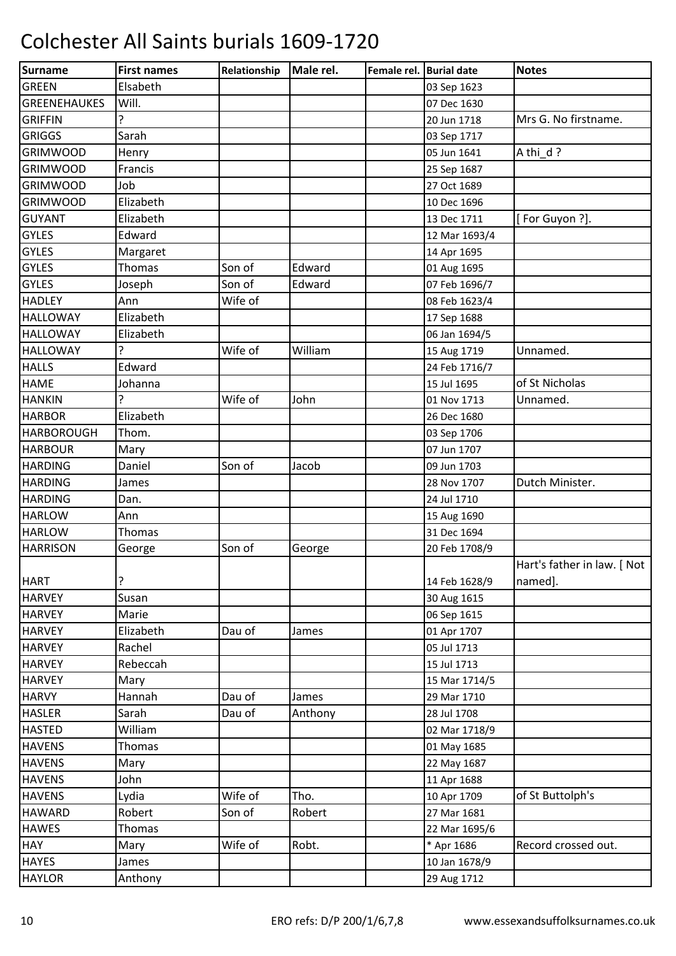| <b>Surname</b><br>Male rel.<br><b>First names</b><br>Relationship<br>Female rel. Burial date |               | <b>Notes</b>                           |
|----------------------------------------------------------------------------------------------|---------------|----------------------------------------|
| <b>GREEN</b><br>Elsabeth                                                                     | 03 Sep 1623   |                                        |
| Will.<br><b>GREENEHAUKES</b>                                                                 | 07 Dec 1630   |                                        |
| ς<br><b>GRIFFIN</b>                                                                          | 20 Jun 1718   | Mrs G. No firstname.                   |
| Sarah<br><b>GRIGGS</b>                                                                       | 03 Sep 1717   |                                        |
| <b>GRIMWOOD</b><br>Henry                                                                     | 05 Jun 1641   | A thi d?                               |
| <b>GRIMWOOD</b><br>Francis                                                                   | 25 Sep 1687   |                                        |
| <b>GRIMWOOD</b><br>Job                                                                       | 27 Oct 1689   |                                        |
| <b>GRIMWOOD</b><br>Elizabeth                                                                 | 10 Dec 1696   |                                        |
| <b>GUYANT</b><br>Elizabeth                                                                   | 13 Dec 1711   | [For Guyon ?].                         |
| <b>GYLES</b><br>Edward                                                                       | 12 Mar 1693/4 |                                        |
| <b>GYLES</b><br>Margaret                                                                     | 14 Apr 1695   |                                        |
| <b>GYLES</b><br><b>Thomas</b><br>Son of<br>Edward                                            | 01 Aug 1695   |                                        |
| <b>GYLES</b><br>Son of<br>Edward<br>Joseph                                                   | 07 Feb 1696/7 |                                        |
| Wife of<br><b>HADLEY</b><br>Ann                                                              | 08 Feb 1623/4 |                                        |
| <b>HALLOWAY</b><br>Elizabeth                                                                 | 17 Sep 1688   |                                        |
| <b>HALLOWAY</b><br>Elizabeth                                                                 | 06 Jan 1694/5 |                                        |
| Ç<br>Wife of<br>William<br><b>HALLOWAY</b>                                                   | 15 Aug 1719   | Unnamed.                               |
| <b>HALLS</b><br>Edward                                                                       | 24 Feb 1716/7 |                                        |
| <b>HAME</b><br>Johanna                                                                       | 15 Jul 1695   | of St Nicholas                         |
| Wife of<br><b>HANKIN</b><br>Ç<br>John                                                        | 01 Nov 1713   | Unnamed.                               |
| Elizabeth<br><b>HARBOR</b>                                                                   | 26 Dec 1680   |                                        |
| <b>HARBOROUGH</b><br>Thom.                                                                   | 03 Sep 1706   |                                        |
| <b>HARBOUR</b><br>Mary                                                                       | 07 Jun 1707   |                                        |
| Daniel<br>Son of<br><b>HARDING</b><br>Jacob                                                  | 09 Jun 1703   |                                        |
| <b>HARDING</b><br>James                                                                      | 28 Nov 1707   | Dutch Minister.                        |
| <b>HARDING</b><br>Dan.                                                                       | 24 Jul 1710   |                                        |
| <b>HARLOW</b><br>Ann                                                                         | 15 Aug 1690   |                                        |
| <b>HARLOW</b><br>Thomas                                                                      | 31 Dec 1694   |                                        |
| Son of<br><b>HARRISON</b><br>George<br>George                                                | 20 Feb 1708/9 |                                        |
| ŗ<br><b>HART</b>                                                                             | 14 Feb 1628/9 | Hart's father in law. [ Not<br>named]. |
| <b>HARVEY</b><br>Susan                                                                       | 30 Aug 1615   |                                        |
| <b>HARVEY</b><br>Marie                                                                       | 06 Sep 1615   |                                        |
| <b>HARVEY</b><br>Elizabeth<br>Dau of<br>James                                                | 01 Apr 1707   |                                        |
| <b>HARVEY</b><br>Rachel                                                                      | 05 Jul 1713   |                                        |
| Rebeccah<br><b>HARVEY</b>                                                                    | 15 Jul 1713   |                                        |
| <b>HARVEY</b><br>Mary                                                                        | 15 Mar 1714/5 |                                        |
| <b>HARVY</b><br>Dau of<br>Hannah<br>James                                                    | 29 Mar 1710   |                                        |
| <b>HASLER</b><br>Sarah<br>Dau of<br>Anthony                                                  | 28 Jul 1708   |                                        |
| <b>HASTED</b><br>William                                                                     | 02 Mar 1718/9 |                                        |
| <b>HAVENS</b><br><b>Thomas</b>                                                               | 01 May 1685   |                                        |
| <b>HAVENS</b><br>Mary                                                                        | 22 May 1687   |                                        |
| <b>HAVENS</b><br>John                                                                        | 11 Apr 1688   |                                        |
| Tho.<br>Wife of<br><b>HAVENS</b><br>Lydia                                                    | 10 Apr 1709   | of St Buttolph's                       |
| Son of<br><b>HAWARD</b><br>Robert<br>Robert                                                  | 27 Mar 1681   |                                        |
| <b>HAWES</b><br>Thomas                                                                       | 22 Mar 1695/6 |                                        |
| Wife of<br><b>HAY</b><br>Robt.<br>Mary                                                       | * Apr 1686    | Record crossed out.                    |
| <b>HAYES</b><br>James                                                                        | 10 Jan 1678/9 |                                        |
| <b>HAYLOR</b><br>Anthony                                                                     | 29 Aug 1712   |                                        |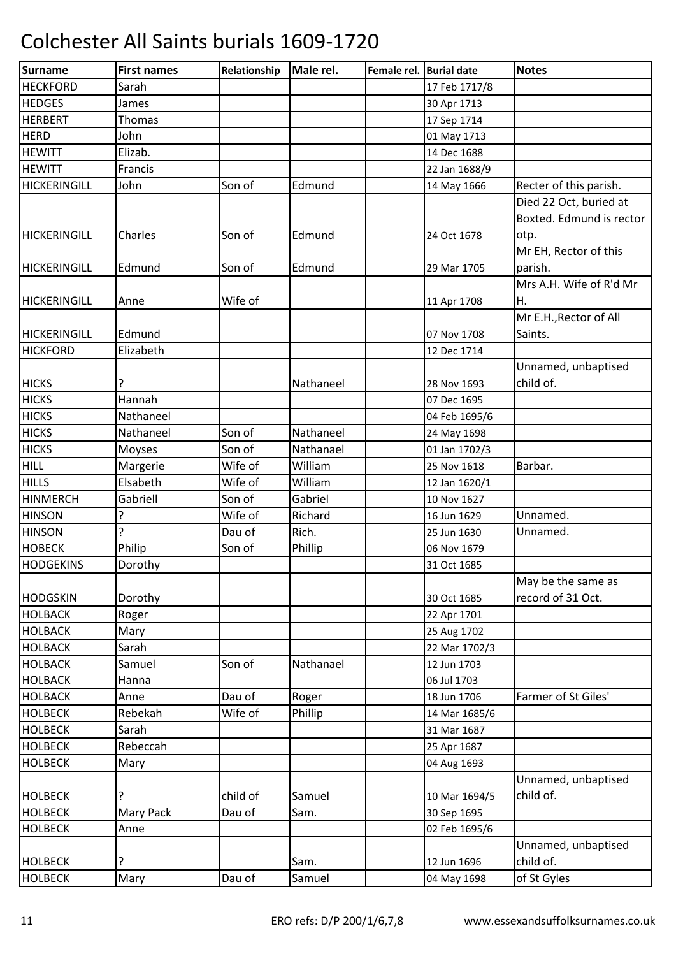| <b>HECKFORD</b><br>Sarah<br>17 Feb 1717/8<br><b>HEDGES</b><br>30 Apr 1713<br>James<br><b>HERBERT</b><br><b>Thomas</b><br>17 Sep 1714<br><b>HERD</b><br>John<br>01 May 1713<br><b>HEWITT</b><br>Elizab.<br>14 Dec 1688<br><b>HEWITT</b><br>Francis<br>22 Jan 1688/9<br><b>HICKERINGILL</b><br>Son of<br>Edmund<br>Recter of this parish.<br>John<br>14 May 1666<br>Died 22 Oct, buried at<br>Boxted. Edmund is rector<br>Charles<br>Son of<br>Edmund<br>24 Oct 1678<br>otp.<br>Mr EH, Rector of this<br>Edmund<br>parish.<br>Edmund<br>Son of<br>29 Mar 1705<br>Mrs A.H. Wife of R'd Mr<br>Wife of<br>Η.<br>Anne<br>11 Apr 1708<br>Mr E.H., Rector of All<br>Edmund<br>HICKERINGILL<br>07 Nov 1708<br>Saints.<br><b>HICKFORD</b><br>Elizabeth<br>12 Dec 1714<br>Unnamed, unbaptised<br><b>HICKS</b><br>Nathaneel<br>child of.<br>28 Nov 1693<br><b>HICKS</b><br>Hannah<br>07 Dec 1695<br><b>HICKS</b><br>Nathaneel<br>04 Feb 1695/6 |
|------------------------------------------------------------------------------------------------------------------------------------------------------------------------------------------------------------------------------------------------------------------------------------------------------------------------------------------------------------------------------------------------------------------------------------------------------------------------------------------------------------------------------------------------------------------------------------------------------------------------------------------------------------------------------------------------------------------------------------------------------------------------------------------------------------------------------------------------------------------------------------------------------------------------------------|
| <b>HICKERINGILL</b><br><b>HICKERINGILL</b><br><b>HICKERINGILL</b>                                                                                                                                                                                                                                                                                                                                                                                                                                                                                                                                                                                                                                                                                                                                                                                                                                                                  |
|                                                                                                                                                                                                                                                                                                                                                                                                                                                                                                                                                                                                                                                                                                                                                                                                                                                                                                                                    |
|                                                                                                                                                                                                                                                                                                                                                                                                                                                                                                                                                                                                                                                                                                                                                                                                                                                                                                                                    |
|                                                                                                                                                                                                                                                                                                                                                                                                                                                                                                                                                                                                                                                                                                                                                                                                                                                                                                                                    |
|                                                                                                                                                                                                                                                                                                                                                                                                                                                                                                                                                                                                                                                                                                                                                                                                                                                                                                                                    |
|                                                                                                                                                                                                                                                                                                                                                                                                                                                                                                                                                                                                                                                                                                                                                                                                                                                                                                                                    |
|                                                                                                                                                                                                                                                                                                                                                                                                                                                                                                                                                                                                                                                                                                                                                                                                                                                                                                                                    |
|                                                                                                                                                                                                                                                                                                                                                                                                                                                                                                                                                                                                                                                                                                                                                                                                                                                                                                                                    |
|                                                                                                                                                                                                                                                                                                                                                                                                                                                                                                                                                                                                                                                                                                                                                                                                                                                                                                                                    |
|                                                                                                                                                                                                                                                                                                                                                                                                                                                                                                                                                                                                                                                                                                                                                                                                                                                                                                                                    |
|                                                                                                                                                                                                                                                                                                                                                                                                                                                                                                                                                                                                                                                                                                                                                                                                                                                                                                                                    |
|                                                                                                                                                                                                                                                                                                                                                                                                                                                                                                                                                                                                                                                                                                                                                                                                                                                                                                                                    |
|                                                                                                                                                                                                                                                                                                                                                                                                                                                                                                                                                                                                                                                                                                                                                                                                                                                                                                                                    |
|                                                                                                                                                                                                                                                                                                                                                                                                                                                                                                                                                                                                                                                                                                                                                                                                                                                                                                                                    |
|                                                                                                                                                                                                                                                                                                                                                                                                                                                                                                                                                                                                                                                                                                                                                                                                                                                                                                                                    |
|                                                                                                                                                                                                                                                                                                                                                                                                                                                                                                                                                                                                                                                                                                                                                                                                                                                                                                                                    |
|                                                                                                                                                                                                                                                                                                                                                                                                                                                                                                                                                                                                                                                                                                                                                                                                                                                                                                                                    |
|                                                                                                                                                                                                                                                                                                                                                                                                                                                                                                                                                                                                                                                                                                                                                                                                                                                                                                                                    |
|                                                                                                                                                                                                                                                                                                                                                                                                                                                                                                                                                                                                                                                                                                                                                                                                                                                                                                                                    |
|                                                                                                                                                                                                                                                                                                                                                                                                                                                                                                                                                                                                                                                                                                                                                                                                                                                                                                                                    |
|                                                                                                                                                                                                                                                                                                                                                                                                                                                                                                                                                                                                                                                                                                                                                                                                                                                                                                                                    |
| <b>HICKS</b><br>Nathaneel<br>Son of<br>Nathaneel<br>24 May 1698                                                                                                                                                                                                                                                                                                                                                                                                                                                                                                                                                                                                                                                                                                                                                                                                                                                                    |
| <b>HICKS</b><br>Son of<br>Nathanael<br>Moyses<br>01 Jan 1702/3                                                                                                                                                                                                                                                                                                                                                                                                                                                                                                                                                                                                                                                                                                                                                                                                                                                                     |
| Barbar.<br><b>HILL</b><br>Margerie<br>Wife of<br>William<br>25 Nov 1618                                                                                                                                                                                                                                                                                                                                                                                                                                                                                                                                                                                                                                                                                                                                                                                                                                                            |
| <b>HILLS</b><br>Elsabeth<br>Wife of<br>William<br>12 Jan 1620/1                                                                                                                                                                                                                                                                                                                                                                                                                                                                                                                                                                                                                                                                                                                                                                                                                                                                    |
| Son of<br><b>HINMERCH</b><br>Gabriell<br>Gabriel<br>10 Nov 1627                                                                                                                                                                                                                                                                                                                                                                                                                                                                                                                                                                                                                                                                                                                                                                                                                                                                    |
| <b>HINSON</b><br>ŗ<br>Wife of<br>Richard<br>16 Jun 1629<br>Unnamed.                                                                                                                                                                                                                                                                                                                                                                                                                                                                                                                                                                                                                                                                                                                                                                                                                                                                |
| ŗ<br>Rich.<br><b>HINSON</b><br>Dau of<br>Unnamed.<br>25 Jun 1630                                                                                                                                                                                                                                                                                                                                                                                                                                                                                                                                                                                                                                                                                                                                                                                                                                                                   |
| <b>HOBECK</b><br>Philip<br>Son of<br>Phillip<br>06 Nov 1679                                                                                                                                                                                                                                                                                                                                                                                                                                                                                                                                                                                                                                                                                                                                                                                                                                                                        |
| <b>HODGEKINS</b><br>Dorothy<br>31 Oct 1685                                                                                                                                                                                                                                                                                                                                                                                                                                                                                                                                                                                                                                                                                                                                                                                                                                                                                         |
| May be the same as                                                                                                                                                                                                                                                                                                                                                                                                                                                                                                                                                                                                                                                                                                                                                                                                                                                                                                                 |
| record of 31 Oct.<br><b>HODGSKIN</b><br>Dorothy<br>30 Oct 1685                                                                                                                                                                                                                                                                                                                                                                                                                                                                                                                                                                                                                                                                                                                                                                                                                                                                     |
| <b>HOLBACK</b><br>Roger<br>22 Apr 1701                                                                                                                                                                                                                                                                                                                                                                                                                                                                                                                                                                                                                                                                                                                                                                                                                                                                                             |
| <b>HOLBACK</b><br>Mary<br>25 Aug 1702                                                                                                                                                                                                                                                                                                                                                                                                                                                                                                                                                                                                                                                                                                                                                                                                                                                                                              |
| <b>HOLBACK</b><br>Sarah<br>22 Mar 1702/3                                                                                                                                                                                                                                                                                                                                                                                                                                                                                                                                                                                                                                                                                                                                                                                                                                                                                           |
| Son of<br>Nathanael<br><b>HOLBACK</b><br>Samuel<br>12 Jun 1703                                                                                                                                                                                                                                                                                                                                                                                                                                                                                                                                                                                                                                                                                                                                                                                                                                                                     |
| <b>HOLBACK</b><br>06 Jul 1703<br>Hanna                                                                                                                                                                                                                                                                                                                                                                                                                                                                                                                                                                                                                                                                                                                                                                                                                                                                                             |
| <b>HOLBACK</b><br>Dau of<br>Farmer of St Giles'<br>Roger<br>18 Jun 1706<br>Anne                                                                                                                                                                                                                                                                                                                                                                                                                                                                                                                                                                                                                                                                                                                                                                                                                                                    |
| Wife of<br><b>HOLBECK</b><br>Rebekah<br>Phillip<br>14 Mar 1685/6                                                                                                                                                                                                                                                                                                                                                                                                                                                                                                                                                                                                                                                                                                                                                                                                                                                                   |
| <b>HOLBECK</b><br>Sarah<br>31 Mar 1687                                                                                                                                                                                                                                                                                                                                                                                                                                                                                                                                                                                                                                                                                                                                                                                                                                                                                             |
| Rebeccah<br><b>HOLBECK</b><br>25 Apr 1687                                                                                                                                                                                                                                                                                                                                                                                                                                                                                                                                                                                                                                                                                                                                                                                                                                                                                          |
| <b>HOLBECK</b><br>Mary<br>04 Aug 1693                                                                                                                                                                                                                                                                                                                                                                                                                                                                                                                                                                                                                                                                                                                                                                                                                                                                                              |
| Unnamed, unbaptised                                                                                                                                                                                                                                                                                                                                                                                                                                                                                                                                                                                                                                                                                                                                                                                                                                                                                                                |
| child of.<br>ŗ<br>child of<br><b>HOLBECK</b><br>Samuel<br>10 Mar 1694/5                                                                                                                                                                                                                                                                                                                                                                                                                                                                                                                                                                                                                                                                                                                                                                                                                                                            |
| Mary Pack<br>Dau of<br><b>HOLBECK</b><br>Sam.<br>30 Sep 1695                                                                                                                                                                                                                                                                                                                                                                                                                                                                                                                                                                                                                                                                                                                                                                                                                                                                       |
| <b>HOLBECK</b><br>02 Feb 1695/6<br>Anne                                                                                                                                                                                                                                                                                                                                                                                                                                                                                                                                                                                                                                                                                                                                                                                                                                                                                            |
| Unnamed, unbaptised                                                                                                                                                                                                                                                                                                                                                                                                                                                                                                                                                                                                                                                                                                                                                                                                                                                                                                                |
| child of.<br><b>HOLBECK</b><br>?<br>Sam.<br>12 Jun 1696                                                                                                                                                                                                                                                                                                                                                                                                                                                                                                                                                                                                                                                                                                                                                                                                                                                                            |
| Dau of<br><b>HOLBECK</b><br>Samuel<br>Mary<br>04 May 1698<br>of St Gyles                                                                                                                                                                                                                                                                                                                                                                                                                                                                                                                                                                                                                                                                                                                                                                                                                                                           |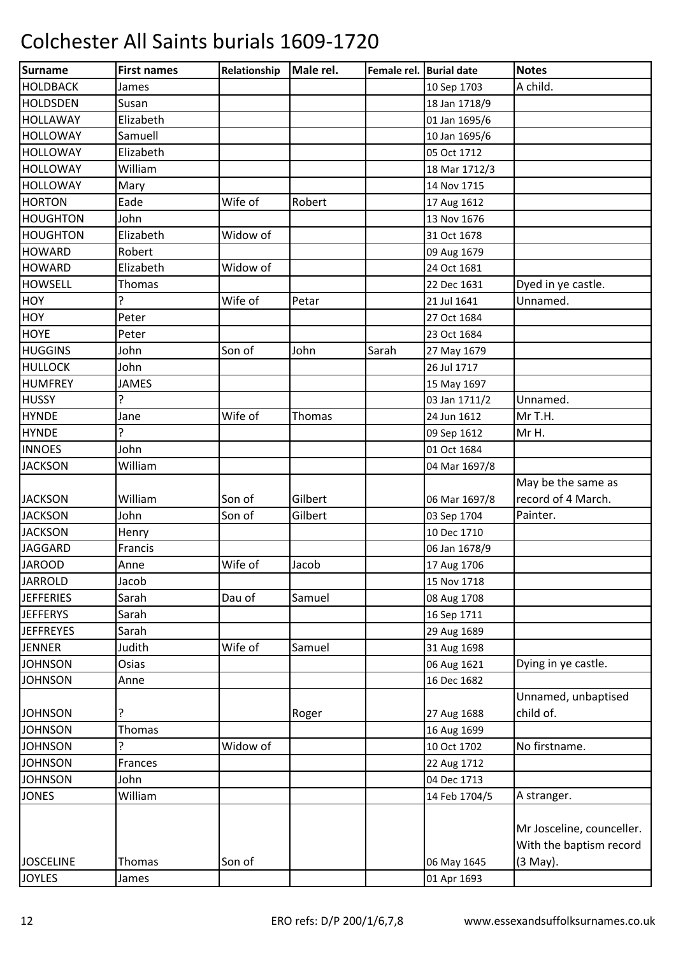| Surname          | <b>First names</b> | Relationship | Male rel. | Female rel. Burial date |               | <b>Notes</b>              |
|------------------|--------------------|--------------|-----------|-------------------------|---------------|---------------------------|
| <b>HOLDBACK</b>  | James              |              |           |                         | 10 Sep 1703   | A child.                  |
| <b>HOLDSDEN</b>  | Susan              |              |           |                         | 18 Jan 1718/9 |                           |
| <b>HOLLAWAY</b>  | Elizabeth          |              |           |                         | 01 Jan 1695/6 |                           |
| <b>HOLLOWAY</b>  | Samuell            |              |           |                         | 10 Jan 1695/6 |                           |
| <b>HOLLOWAY</b>  | Elizabeth          |              |           |                         | 05 Oct 1712   |                           |
| <b>HOLLOWAY</b>  | William            |              |           |                         | 18 Mar 1712/3 |                           |
| <b>HOLLOWAY</b>  | Mary               |              |           |                         | 14 Nov 1715   |                           |
| <b>HORTON</b>    | Eade               | Wife of      | Robert    |                         | 17 Aug 1612   |                           |
| <b>HOUGHTON</b>  | John               |              |           |                         | 13 Nov 1676   |                           |
| <b>HOUGHTON</b>  | Elizabeth          | Widow of     |           |                         | 31 Oct 1678   |                           |
| <b>HOWARD</b>    | Robert             |              |           |                         | 09 Aug 1679   |                           |
| <b>HOWARD</b>    | Elizabeth          | Widow of     |           |                         | 24 Oct 1681   |                           |
| <b>HOWSELL</b>   | <b>Thomas</b>      |              |           |                         | 22 Dec 1631   | Dyed in ye castle.        |
| HOY              | ç                  | Wife of      | Petar     |                         | 21 Jul 1641   | Unnamed.                  |
| HOY              | Peter              |              |           |                         | 27 Oct 1684   |                           |
| <b>HOYE</b>      | Peter              |              |           |                         | 23 Oct 1684   |                           |
| <b>HUGGINS</b>   | John               | Son of       | John      | Sarah                   | 27 May 1679   |                           |
| <b>HULLOCK</b>   | John               |              |           |                         | 26 Jul 1717   |                           |
| <b>HUMFREY</b>   | <b>JAMES</b>       |              |           |                         | 15 May 1697   |                           |
| <b>HUSSY</b>     | 5.                 |              |           |                         | 03 Jan 1711/2 | Unnamed.                  |
| <b>HYNDE</b>     | Jane               | Wife of      | Thomas    |                         | 24 Jun 1612   | Mr T.H.                   |
| <b>HYNDE</b>     | 5.                 |              |           |                         | 09 Sep 1612   | Mr H.                     |
| <b>INNOES</b>    | John               |              |           |                         | 01 Oct 1684   |                           |
| <b>JACKSON</b>   | William            |              |           |                         | 04 Mar 1697/8 |                           |
|                  |                    |              |           |                         |               | May be the same as        |
| <b>JACKSON</b>   | William            | Son of       | Gilbert   |                         | 06 Mar 1697/8 | record of 4 March.        |
| <b>JACKSON</b>   | John               | Son of       | Gilbert   |                         | 03 Sep 1704   | Painter.                  |
| <b>JACKSON</b>   | Henry              |              |           |                         | 10 Dec 1710   |                           |
| <b>JAGGARD</b>   | Francis            |              |           |                         | 06 Jan 1678/9 |                           |
| <b>JAROOD</b>    | Anne               | Wife of      | Jacob     |                         | 17 Aug 1706   |                           |
| <b>JARROLD</b>   | Jacob              |              |           |                         | 15 Nov 1718   |                           |
| <b>JEFFERIES</b> | Sarah              | Dau of       | Samuel    |                         | 08 Aug 1708   |                           |
| <b>JEFFERYS</b>  | Sarah              |              |           |                         | 16 Sep 1711   |                           |
| <b>JEFFREYES</b> | Sarah              |              |           |                         | 29 Aug 1689   |                           |
| <b>JENNER</b>    | Judith             | Wife of      | Samuel    |                         | 31 Aug 1698   |                           |
| <b>JOHNSON</b>   | Osias              |              |           |                         | 06 Aug 1621   | Dying in ye castle.       |
| <b>JOHNSON</b>   | Anne               |              |           |                         | 16 Dec 1682   |                           |
|                  |                    |              |           |                         |               | Unnamed, unbaptised       |
| <b>JOHNSON</b>   | ?                  |              | Roger     |                         | 27 Aug 1688   | child of.                 |
| <b>JOHNSON</b>   | Thomas             |              |           |                         | 16 Aug 1699   |                           |
| <b>JOHNSON</b>   | ç                  | Widow of     |           |                         | 10 Oct 1702   | No firstname.             |
| <b>JOHNSON</b>   | Frances            |              |           |                         | 22 Aug 1712   |                           |
| <b>JOHNSON</b>   | John               |              |           |                         | 04 Dec 1713   |                           |
| <b>JONES</b>     | William            |              |           |                         | 14 Feb 1704/5 | A stranger.               |
|                  |                    |              |           |                         |               |                           |
|                  |                    |              |           |                         |               | Mr Josceline, counceller. |
|                  |                    |              |           |                         |               | With the baptism record   |
| <b>JOSCELINE</b> | Thomas             | Son of       |           |                         | 06 May 1645   | (3 May).                  |
| <b>JOYLES</b>    | James              |              |           |                         | 01 Apr 1693   |                           |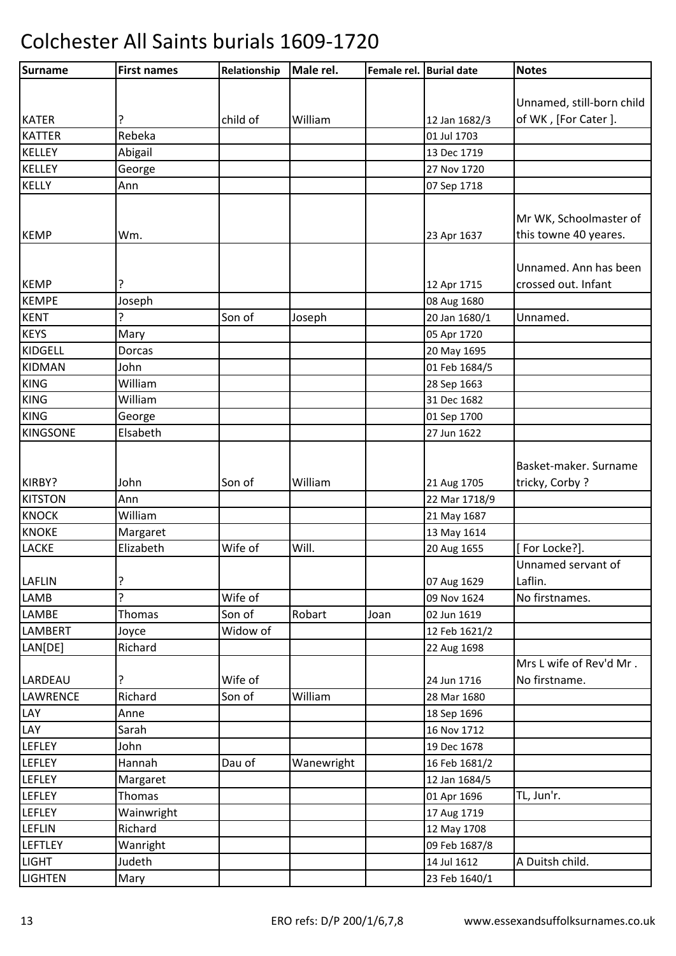| Surname         | <b>First names</b> | Relationship | Male rel.  | Female rel. Burial date |               | <b>Notes</b>              |
|-----------------|--------------------|--------------|------------|-------------------------|---------------|---------------------------|
|                 |                    |              |            |                         |               |                           |
|                 |                    |              |            |                         |               | Unnamed, still-born child |
| <b>KATER</b>    | ?                  | child of     | William    |                         | 12 Jan 1682/3 | of WK, [For Cater].       |
| <b>KATTER</b>   | Rebeka             |              |            |                         | 01 Jul 1703   |                           |
| KELLEY          | Abigail            |              |            |                         | 13 Dec 1719   |                           |
| <b>KELLEY</b>   | George             |              |            |                         | 27 Nov 1720   |                           |
| <b>KELLY</b>    | Ann                |              |            |                         | 07 Sep 1718   |                           |
|                 |                    |              |            |                         |               |                           |
|                 |                    |              |            |                         |               | Mr WK, Schoolmaster of    |
| <b>KEMP</b>     | Wm.                |              |            |                         | 23 Apr 1637   | this towne 40 yeares.     |
|                 |                    |              |            |                         |               |                           |
|                 |                    |              |            |                         |               | Unnamed. Ann has been     |
| <b>KEMP</b>     | ?                  |              |            |                         | 12 Apr 1715   | crossed out. Infant       |
| <b>KEMPE</b>    | Joseph             |              |            |                         | 08 Aug 1680   |                           |
| <b>KENT</b>     | ?                  | Son of       | Joseph     |                         | 20 Jan 1680/1 | Unnamed.                  |
| <b>KEYS</b>     | Mary               |              |            |                         | 05 Apr 1720   |                           |
| <b>KIDGELL</b>  | Dorcas             |              |            |                         | 20 May 1695   |                           |
| <b>KIDMAN</b>   | John               |              |            |                         | 01 Feb 1684/5 |                           |
| <b>KING</b>     | William            |              |            |                         | 28 Sep 1663   |                           |
| <b>KING</b>     | William            |              |            |                         | 31 Dec 1682   |                           |
| <b>KING</b>     | George             |              |            |                         | 01 Sep 1700   |                           |
| <b>KINGSONE</b> | Elsabeth           |              |            |                         | 27 Jun 1622   |                           |
|                 |                    |              |            |                         |               |                           |
|                 |                    |              |            |                         |               | Basket-maker. Surname     |
| KIRBY?          | John               | Son of       | William    |                         | 21 Aug 1705   | tricky, Corby?            |
| <b>KITSTON</b>  | Ann                |              |            |                         | 22 Mar 1718/9 |                           |
| <b>KNOCK</b>    | William            |              |            |                         | 21 May 1687   |                           |
| <b>KNOKE</b>    | Margaret           |              |            |                         | 13 May 1614   |                           |
| LACKE           | Elizabeth          | Wife of      | Will.      |                         | 20 Aug 1655   | [For Locke?].             |
|                 |                    |              |            |                         |               | Unnamed servant of        |
| <b>LAFLIN</b>   | ?                  |              |            |                         | 07 Aug 1629   | Laflin.                   |
| LAMB            | ŗ                  | Wife of      |            |                         | 09 Nov 1624   | No firstnames.            |
| LAMBE           | <b>Thomas</b>      | Son of       | Robart     | Joan                    | 02 Jun 1619   |                           |
| <b>LAMBERT</b>  | Joyce              | Widow of     |            |                         | 12 Feb 1621/2 |                           |
| LAN[DE]         | Richard            |              |            |                         | 22 Aug 1698   |                           |
|                 |                    |              |            |                         |               | Mrs L wife of Rev'd Mr.   |
| LARDEAU         | ?                  | Wife of      |            |                         | 24 Jun 1716   | No firstname.             |
| LAWRENCE        | Richard            | Son of       | William    |                         | 28 Mar 1680   |                           |
| LAY             | Anne               |              |            |                         | 18 Sep 1696   |                           |
| LAY             | Sarah              |              |            |                         | 16 Nov 1712   |                           |
| <b>LEFLEY</b>   | John               |              |            |                         | 19 Dec 1678   |                           |
| LEFLEY          | Hannah             | Dau of       | Wanewright |                         | 16 Feb 1681/2 |                           |
| <b>LEFLEY</b>   | Margaret           |              |            |                         | 12 Jan 1684/5 |                           |
| LEFLEY          | <b>Thomas</b>      |              |            |                         | 01 Apr 1696   | TL, Jun'r.                |
| LEFLEY          | Wainwright         |              |            |                         | 17 Aug 1719   |                           |
| <b>LEFLIN</b>   | Richard            |              |            |                         | 12 May 1708   |                           |
| <b>LEFTLEY</b>  | Wanright           |              |            |                         | 09 Feb 1687/8 |                           |
| <b>LIGHT</b>    | Judeth             |              |            |                         | 14 Jul 1612   | A Duitsh child.           |
| <b>LIGHTEN</b>  | Mary               |              |            |                         | 23 Feb 1640/1 |                           |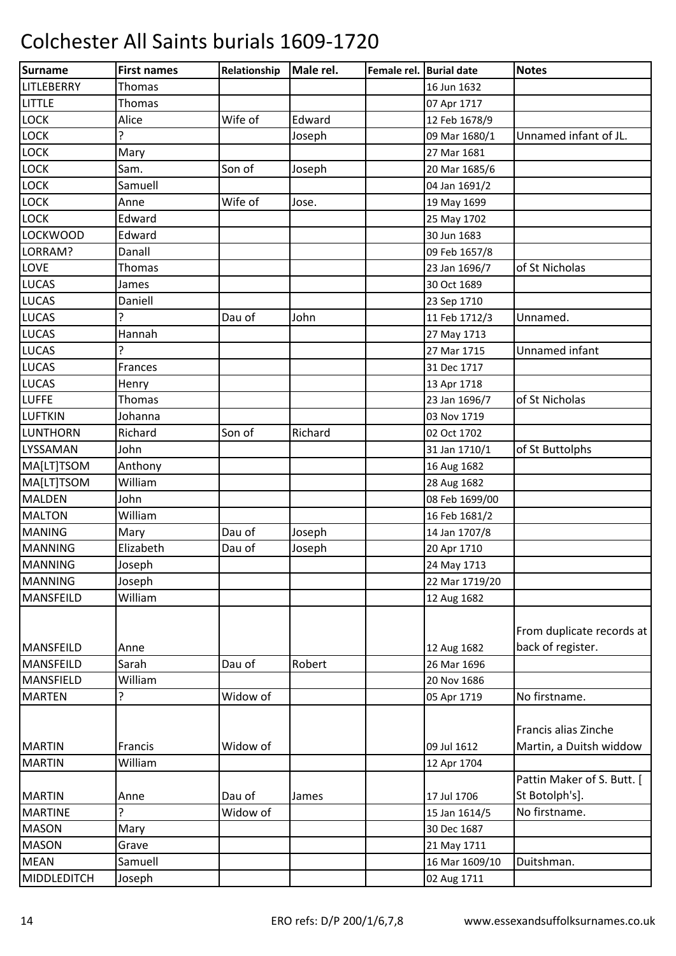| Surname            | <b>First names</b> | Relationship | Male rel. | Female rel. Burial date |                | <b>Notes</b>                                    |
|--------------------|--------------------|--------------|-----------|-------------------------|----------------|-------------------------------------------------|
| LITLEBERRY         | Thomas             |              |           |                         | 16 Jun 1632    |                                                 |
| <b>LITTLE</b>      | Thomas             |              |           |                         | 07 Apr 1717    |                                                 |
| LOCK               | Alice              | Wife of      | Edward    |                         | 12 Feb 1678/9  |                                                 |
| LOCK               | 5.                 |              | Joseph    |                         | 09 Mar 1680/1  | Unnamed infant of JL.                           |
| LOCK               | Mary               |              |           |                         | 27 Mar 1681    |                                                 |
| LOCK               | Sam.               | Son of       | Joseph    |                         | 20 Mar 1685/6  |                                                 |
| LOCK               | Samuell            |              |           |                         | 04 Jan 1691/2  |                                                 |
| LOCK               | Anne               | Wife of      | Jose.     |                         | 19 May 1699    |                                                 |
| <b>LOCK</b>        | Edward             |              |           |                         | 25 May 1702    |                                                 |
| <b>LOCKWOOD</b>    | Edward             |              |           |                         | 30 Jun 1683    |                                                 |
| LORRAM?            | Danall             |              |           |                         | 09 Feb 1657/8  |                                                 |
| LOVE               | Thomas             |              |           |                         | 23 Jan 1696/7  | of St Nicholas                                  |
| <b>LUCAS</b>       | James              |              |           |                         | 30 Oct 1689    |                                                 |
| <b>LUCAS</b>       | Daniell            |              |           |                         | 23 Sep 1710    |                                                 |
| <b>LUCAS</b>       |                    | Dau of       | John      |                         | 11 Feb 1712/3  | Unnamed.                                        |
| <b>LUCAS</b>       | Hannah             |              |           |                         | 27 May 1713    |                                                 |
| <b>LUCAS</b>       | ç.                 |              |           |                         | 27 Mar 1715    | Unnamed infant                                  |
| <b>LUCAS</b>       | Frances            |              |           |                         | 31 Dec 1717    |                                                 |
| <b>LUCAS</b>       | Henry              |              |           |                         | 13 Apr 1718    |                                                 |
| <b>LUFFE</b>       | Thomas             |              |           |                         | 23 Jan 1696/7  | of St Nicholas                                  |
| <b>LUFTKIN</b>     | Johanna            |              |           |                         | 03 Nov 1719    |                                                 |
| <b>LUNTHORN</b>    | Richard            | Son of       | Richard   |                         | 02 Oct 1702    |                                                 |
| LYSSAMAN           | John               |              |           |                         | 31 Jan 1710/1  | of St Buttolphs                                 |
| MA[LT]TSOM         | Anthony            |              |           |                         | 16 Aug 1682    |                                                 |
| MA[LT]TSOM         | William            |              |           |                         | 28 Aug 1682    |                                                 |
| <b>MALDEN</b>      | John               |              |           |                         | 08 Feb 1699/00 |                                                 |
| <b>MALTON</b>      | William            |              |           |                         | 16 Feb 1681/2  |                                                 |
| <b>MANING</b>      | Mary               | Dau of       | Joseph    |                         | 14 Jan 1707/8  |                                                 |
| <b>MANNING</b>     | Elizabeth          | Dau of       | Joseph    |                         | 20 Apr 1710    |                                                 |
| <b>MANNING</b>     | Joseph             |              |           |                         | 24 May 1713    |                                                 |
| <b>MANNING</b>     | Joseph             |              |           |                         | 22 Mar 1719/20 |                                                 |
| <b>MANSFEILD</b>   | William            |              |           |                         | 12 Aug 1682    |                                                 |
| <b>MANSFEILD</b>   | Anne               |              |           |                         | 12 Aug 1682    | From duplicate records at<br>back of register.  |
| <b>MANSFEILD</b>   | Sarah              | Dau of       | Robert    |                         | 26 Mar 1696    |                                                 |
| MANSFIELD          | William            |              |           |                         | 20 Nov 1686    |                                                 |
| <b>MARTEN</b>      | ?                  | Widow of     |           |                         | 05 Apr 1719    | No firstname.                                   |
| <b>MARTIN</b>      | Francis            | Widow of     |           |                         | 09 Jul 1612    | Francis alias Zinche<br>Martin, a Duitsh widdow |
| <b>MARTIN</b>      | William            |              |           |                         | 12 Apr 1704    |                                                 |
|                    |                    |              |           |                         |                | Pattin Maker of S. Butt. [                      |
| <b>MARTIN</b>      | Anne               | Dau of       | James     |                         | 17 Jul 1706    | St Botolph's].                                  |
| <b>MARTINE</b>     | ç                  | Widow of     |           |                         | 15 Jan 1614/5  | No firstname.                                   |
| <b>MASON</b>       | Mary               |              |           |                         | 30 Dec 1687    |                                                 |
| <b>MASON</b>       | Grave              |              |           |                         | 21 May 1711    |                                                 |
| <b>MEAN</b>        | Samuell            |              |           |                         | 16 Mar 1609/10 | Duitshman.                                      |
| <b>MIDDLEDITCH</b> | Joseph             |              |           |                         | 02 Aug 1711    |                                                 |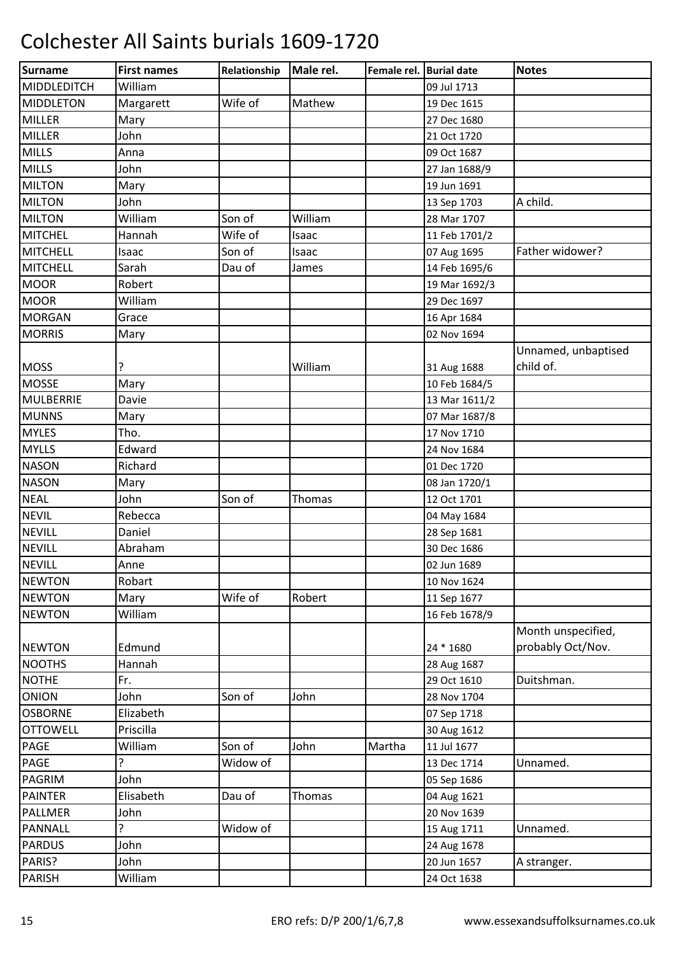| <b>Surname</b>   | <b>First names</b> | Relationship | Male rel. | Female rel. Burial date |               | <b>Notes</b>        |
|------------------|--------------------|--------------|-----------|-------------------------|---------------|---------------------|
| MIDDLEDITCH      | William            |              |           |                         | 09 Jul 1713   |                     |
| <b>MIDDLETON</b> | Margarett          | Wife of      | Mathew    |                         | 19 Dec 1615   |                     |
| <b>MILLER</b>    | Mary               |              |           |                         | 27 Dec 1680   |                     |
| <b>MILLER</b>    | John               |              |           |                         | 21 Oct 1720   |                     |
| <b>MILLS</b>     | Anna               |              |           |                         | 09 Oct 1687   |                     |
| <b>MILLS</b>     | John               |              |           |                         | 27 Jan 1688/9 |                     |
| <b>MILTON</b>    | Mary               |              |           |                         | 19 Jun 1691   |                     |
| <b>MILTON</b>    | John               |              |           |                         | 13 Sep 1703   | A child.            |
| <b>MILTON</b>    | William            | Son of       | William   |                         | 28 Mar 1707   |                     |
| MITCHEL          | Hannah             | Wife of      | Isaac     |                         | 11 Feb 1701/2 |                     |
| <b>MITCHELL</b>  | Isaac              | Son of       | Isaac     |                         | 07 Aug 1695   | Father widower?     |
| <b>MITCHELL</b>  | Sarah              | Dau of       | James     |                         | 14 Feb 1695/6 |                     |
| <b>MOOR</b>      | Robert             |              |           |                         | 19 Mar 1692/3 |                     |
| <b>MOOR</b>      | William            |              |           |                         | 29 Dec 1697   |                     |
| <b>MORGAN</b>    | Grace              |              |           |                         | 16 Apr 1684   |                     |
| <b>MORRIS</b>    | Mary               |              |           |                         | 02 Nov 1694   |                     |
|                  |                    |              |           |                         |               | Unnamed, unbaptised |
| <b>MOSS</b>      | ?                  |              | William   |                         | 31 Aug 1688   | child of.           |
| <b>MOSSE</b>     | Mary               |              |           |                         | 10 Feb 1684/5 |                     |
| MULBERRIE        | Davie              |              |           |                         | 13 Mar 1611/2 |                     |
| <b>MUNNS</b>     | Mary               |              |           |                         | 07 Mar 1687/8 |                     |
| <b>MYLES</b>     | Tho.               |              |           |                         | 17 Nov 1710   |                     |
| <b>MYLLS</b>     | Edward             |              |           |                         | 24 Nov 1684   |                     |
| <b>NASON</b>     | Richard            |              |           |                         | 01 Dec 1720   |                     |
| <b>NASON</b>     | Mary               |              |           |                         | 08 Jan 1720/1 |                     |
| <b>NEAL</b>      | John               | Son of       | Thomas    |                         | 12 Oct 1701   |                     |
| <b>NEVIL</b>     | Rebecca            |              |           |                         | 04 May 1684   |                     |
| <b>NEVILL</b>    | Daniel             |              |           |                         | 28 Sep 1681   |                     |
| <b>NEVILL</b>    | Abraham            |              |           |                         | 30 Dec 1686   |                     |
| <b>NEVILL</b>    | Anne               |              |           |                         | 02 Jun 1689   |                     |
| <b>NEWTON</b>    | Robart             |              |           |                         | 10 Nov 1624   |                     |
| <b>NEWTON</b>    | Mary               | Wife of      | Robert    |                         | 11 Sep 1677   |                     |
| <b>NEWTON</b>    | William            |              |           |                         | 16 Feb 1678/9 |                     |
|                  |                    |              |           |                         |               | Month unspecified,  |
| <b>NEWTON</b>    | Edmund             |              |           |                         | 24 * 1680     | probably Oct/Nov.   |
| <b>NOOTHS</b>    | Hannah             |              |           |                         | 28 Aug 1687   |                     |
| <b>NOTHE</b>     | Fr.                |              |           |                         | 29 Oct 1610   | Duitshman.          |
| <b>ONION</b>     | John               | Son of       | John      |                         | 28 Nov 1704   |                     |
| <b>OSBORNE</b>   | Elizabeth          |              |           |                         | 07 Sep 1718   |                     |
| <b>OTTOWELL</b>  | Priscilla          |              |           |                         | 30 Aug 1612   |                     |
| <b>PAGE</b>      | William            | Son of       | John      | Martha                  | 11 Jul 1677   |                     |
| PAGE             | 5.                 | Widow of     |           |                         | 13 Dec 1714   | Unnamed.            |
| <b>PAGRIM</b>    | John               |              |           |                         | 05 Sep 1686   |                     |
| <b>PAINTER</b>   | Elisabeth          | Dau of       | Thomas    |                         | 04 Aug 1621   |                     |
| <b>PALLMER</b>   | John               |              |           |                         | 20 Nov 1639   |                     |
| <b>PANNALL</b>   | 5.                 | Widow of     |           |                         | 15 Aug 1711   | Unnamed.            |
| <b>PARDUS</b>    | John               |              |           |                         | 24 Aug 1678   |                     |
| PARIS?           | John               |              |           |                         | 20 Jun 1657   | A stranger.         |
| <b>PARISH</b>    | William            |              |           |                         | 24 Oct 1638   |                     |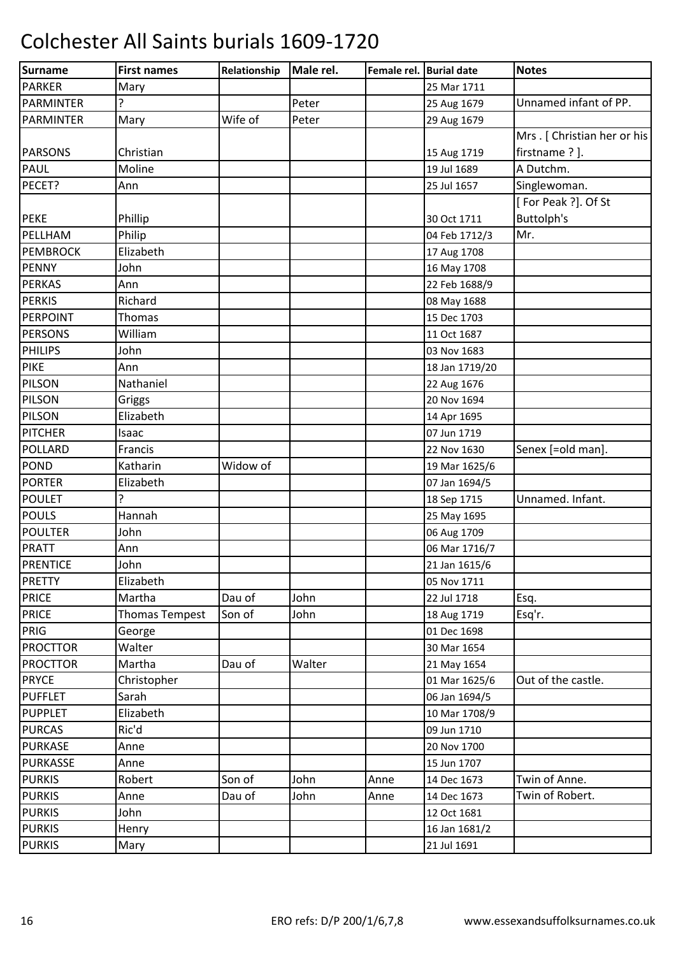| Surname          | <b>First names</b>    | Relationship | Male rel. | Female rel. Burial date |                | <b>Notes</b>                |
|------------------|-----------------------|--------------|-----------|-------------------------|----------------|-----------------------------|
| <b>PARKER</b>    | Mary                  |              |           |                         | 25 Mar 1711    |                             |
| <b>PARMINTER</b> | ?                     |              | Peter     |                         | 25 Aug 1679    | Unnamed infant of PP.       |
| <b>PARMINTER</b> | Mary                  | Wife of      | Peter     |                         | 29 Aug 1679    |                             |
|                  |                       |              |           |                         |                | Mrs. [Christian her or his] |
| <b>PARSONS</b>   | Christian             |              |           |                         | 15 Aug 1719    | firstname ? ].              |
| <b>PAUL</b>      | Moline                |              |           |                         | 19 Jul 1689    | A Dutchm.                   |
| PECET?           | Ann                   |              |           |                         | 25 Jul 1657    | Singlewoman.                |
|                  |                       |              |           |                         |                | [For Peak ?]. Of St         |
| <b>PEKE</b>      | Phillip               |              |           |                         | 30 Oct 1711    | Buttolph's                  |
| PELLHAM          | Philip                |              |           |                         | 04 Feb 1712/3  | Mr.                         |
| <b>PEMBROCK</b>  | Elizabeth             |              |           |                         | 17 Aug 1708    |                             |
| <b>PENNY</b>     | John                  |              |           |                         | 16 May 1708    |                             |
| <b>PERKAS</b>    | Ann                   |              |           |                         | 22 Feb 1688/9  |                             |
| <b>PERKIS</b>    | Richard               |              |           |                         | 08 May 1688    |                             |
| PERPOINT         | <b>Thomas</b>         |              |           |                         | 15 Dec 1703    |                             |
| <b>PERSONS</b>   | William               |              |           |                         | 11 Oct 1687    |                             |
| <b>PHILIPS</b>   | John                  |              |           |                         | 03 Nov 1683    |                             |
| <b>PIKE</b>      | Ann                   |              |           |                         | 18 Jan 1719/20 |                             |
| PILSON           | Nathaniel             |              |           |                         | 22 Aug 1676    |                             |
| PILSON           | Griggs                |              |           |                         | 20 Nov 1694    |                             |
| PILSON           | Elizabeth             |              |           |                         | 14 Apr 1695    |                             |
| <b>PITCHER</b>   | Isaac                 |              |           |                         | 07 Jun 1719    |                             |
| <b>POLLARD</b>   | Francis               |              |           |                         | 22 Nov 1630    | Senex [=old man].           |
| POND             | Katharin              | Widow of     |           |                         | 19 Mar 1625/6  |                             |
| <b>PORTER</b>    | Elizabeth             |              |           |                         | 07 Jan 1694/5  |                             |
| <b>POULET</b>    | ç.                    |              |           |                         | 18 Sep 1715    | Unnamed. Infant.            |
| <b>POULS</b>     | Hannah                |              |           |                         | 25 May 1695    |                             |
| <b>POULTER</b>   | John                  |              |           |                         | 06 Aug 1709    |                             |
| <b>PRATT</b>     | Ann                   |              |           |                         | 06 Mar 1716/7  |                             |
| PRENTICE         | John                  |              |           |                         | 21 Jan 1615/6  |                             |
| <b>PRETTY</b>    | Elizabeth             |              |           |                         | 05 Nov 1711    |                             |
| <b>PRICE</b>     | Martha                | Dau of       | John      |                         | 22 Jul 1718    | Esq.                        |
| <b>PRICE</b>     | <b>Thomas Tempest</b> | Son of       | John      |                         | 18 Aug 1719    | Esq'r.                      |
| PRIG             | George                |              |           |                         | 01 Dec 1698    |                             |
| <b>PROCTTOR</b>  | Walter                |              |           |                         | 30 Mar 1654    |                             |
| <b>PROCTTOR</b>  | Martha                | Dau of       | Walter    |                         | 21 May 1654    |                             |
| <b>PRYCE</b>     | Christopher           |              |           |                         | 01 Mar 1625/6  | Out of the castle.          |
| <b>PUFFLET</b>   | Sarah                 |              |           |                         | 06 Jan 1694/5  |                             |
| <b>PUPPLET</b>   | Elizabeth             |              |           |                         | 10 Mar 1708/9  |                             |
| <b>PURCAS</b>    | Ric'd                 |              |           |                         | 09 Jun 1710    |                             |
| <b>PURKASE</b>   | Anne                  |              |           |                         | 20 Nov 1700    |                             |
| PURKASSE         | Anne                  |              |           |                         | 15 Jun 1707    |                             |
| <b>PURKIS</b>    | Robert                | Son of       | John      | Anne                    | 14 Dec 1673    | Twin of Anne.               |
| <b>PURKIS</b>    | Anne                  | Dau of       | John      | Anne                    | 14 Dec 1673    | Twin of Robert.             |
| <b>PURKIS</b>    | John                  |              |           |                         | 12 Oct 1681    |                             |
| <b>PURKIS</b>    | Henry                 |              |           |                         | 16 Jan 1681/2  |                             |
| <b>PURKIS</b>    | Mary                  |              |           |                         | 21 Jul 1691    |                             |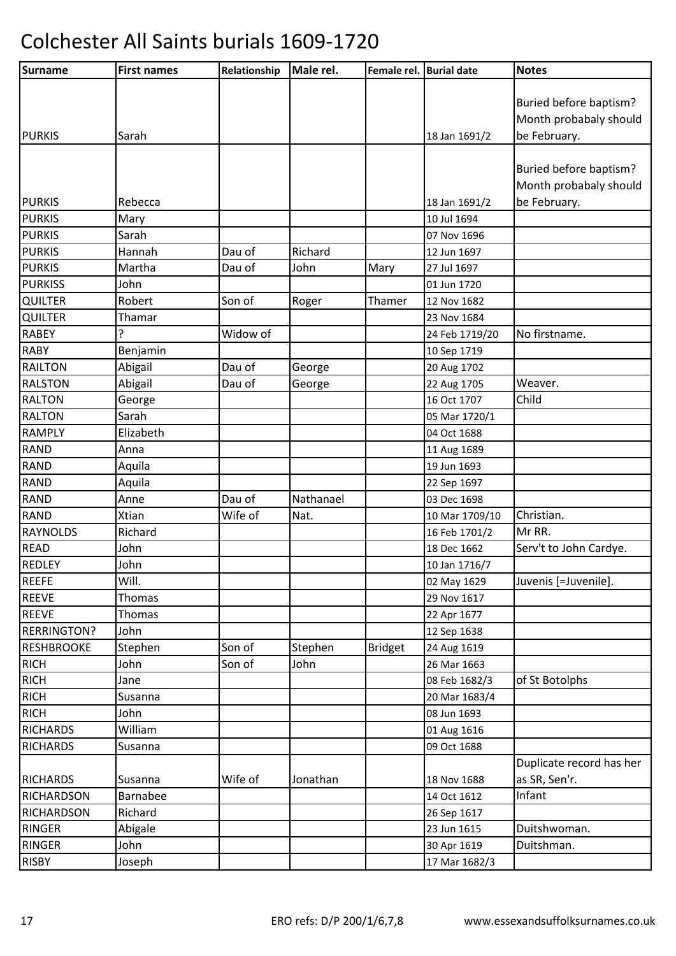| Surname            | <b>First names</b> | Relationship | Male rel. | Female rel. Burial date |                | <b>Notes</b>             |
|--------------------|--------------------|--------------|-----------|-------------------------|----------------|--------------------------|
|                    |                    |              |           |                         |                |                          |
|                    |                    |              |           |                         |                | Buried before baptism?   |
|                    |                    |              |           |                         |                | Month probabaly should   |
| <b>PURKIS</b>      | Sarah              |              |           |                         | 18 Jan 1691/2  | be February.             |
|                    |                    |              |           |                         |                |                          |
|                    |                    |              |           |                         |                | Buried before baptism?   |
|                    |                    |              |           |                         |                | Month probabaly should   |
| <b>PURKIS</b>      | Rebecca            |              |           |                         | 18 Jan 1691/2  | be February.             |
| <b>PURKIS</b>      | Mary               |              |           |                         | 10 Jul 1694    |                          |
| <b>PURKIS</b>      | Sarah              |              |           |                         | 07 Nov 1696    |                          |
| <b>PURKIS</b>      | Hannah             | Dau of       | Richard   |                         | 12 Jun 1697    |                          |
| <b>PURKIS</b>      | Martha             | Dau of       | John      | Mary                    | 27 Jul 1697    |                          |
| <b>PURKISS</b>     | John               |              |           |                         | 01 Jun 1720    |                          |
| <b>QUILTER</b>     | Robert             | Son of       | Roger     | Thamer                  | 12 Nov 1682    |                          |
| <b>QUILTER</b>     | Thamar             |              |           |                         | 23 Nov 1684    |                          |
| <b>RABEY</b>       | ?                  | Widow of     |           |                         | 24 Feb 1719/20 | No firstname.            |
| <b>RABY</b>        | Benjamin           |              |           |                         | 10 Sep 1719    |                          |
| <b>RAILTON</b>     | Abigail            | Dau of       | George    |                         | 20 Aug 1702    |                          |
| <b>RALSTON</b>     | Abigail            | Dau of       | George    |                         | 22 Aug 1705    | Weaver.                  |
| <b>RALTON</b>      | George             |              |           |                         | 16 Oct 1707    | Child                    |
| <b>RALTON</b>      | Sarah              |              |           |                         | 05 Mar 1720/1  |                          |
| <b>RAMPLY</b>      | Elizabeth          |              |           |                         | 04 Oct 1688    |                          |
| <b>RAND</b>        | Anna               |              |           |                         | 11 Aug 1689    |                          |
| <b>RAND</b>        | Aquila             |              |           |                         | 19 Jun 1693    |                          |
| <b>RAND</b>        | Aquila             |              |           |                         | 22 Sep 1697    |                          |
| <b>RAND</b>        | Anne               | Dau of       | Nathanael |                         | 03 Dec 1698    |                          |
| <b>RAND</b>        | Xtian              | Wife of      | Nat.      |                         | 10 Mar 1709/10 | Christian.               |
| <b>RAYNOLDS</b>    | Richard            |              |           |                         | 16 Feb 1701/2  | Mr RR.                   |
| <b>READ</b>        | John               |              |           |                         | 18 Dec 1662    | Serv't to John Cardye.   |
| <b>REDLEY</b>      | John               |              |           |                         | 10 Jan 1716/7  |                          |
| <b>REEFE</b>       | Will.              |              |           |                         | 02 May 1629    | Juvenis [=Juvenile].     |
| <b>REEVE</b>       | Thomas             |              |           |                         | 29 Nov 1617    |                          |
| <b>REEVE</b>       | Thomas             |              |           |                         | 22 Apr 1677    |                          |
| <b>RERRINGTON?</b> | John               |              |           |                         | 12 Sep 1638    |                          |
| <b>RESHBROOKE</b>  | Stephen            | Son of       | Stephen   | <b>Bridget</b>          | 24 Aug 1619    |                          |
| <b>RICH</b>        | John               | Son of       | John      |                         | 26 Mar 1663    |                          |
| <b>RICH</b>        | Jane               |              |           |                         | 08 Feb 1682/3  | of St Botolphs           |
| <b>RICH</b>        | Susanna            |              |           |                         | 20 Mar 1683/4  |                          |
| <b>RICH</b>        | John               |              |           |                         | 08 Jun 1693    |                          |
| <b>RICHARDS</b>    | William            |              |           |                         | 01 Aug 1616    |                          |
| <b>RICHARDS</b>    | Susanna            |              |           |                         | 09 Oct 1688    |                          |
|                    |                    |              |           |                         |                | Duplicate record has her |
| <b>RICHARDS</b>    | Susanna            | Wife of      | Jonathan  |                         | 18 Nov 1688    | as SR, Sen'r.            |
| <b>RICHARDSON</b>  | Barnabee           |              |           |                         | 14 Oct 1612    | Infant                   |
| <b>RICHARDSON</b>  | Richard            |              |           |                         | 26 Sep 1617    |                          |
| RINGER             | Abigale            |              |           |                         | 23 Jun 1615    | Duitshwoman.             |
| RINGER             | John               |              |           |                         | 30 Apr 1619    | Duitshman.               |
| <b>RISBY</b>       | Joseph             |              |           |                         | 17 Mar 1682/3  |                          |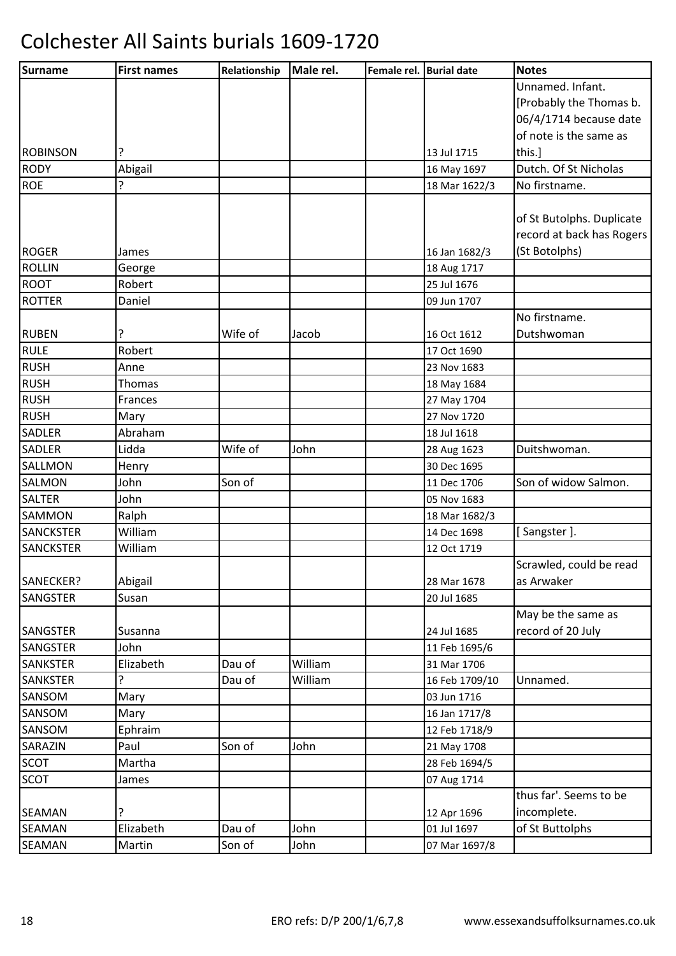| Surname          | <b>First names</b> | Relationship | Male rel. | Female rel. Burial date |                | <b>Notes</b>              |
|------------------|--------------------|--------------|-----------|-------------------------|----------------|---------------------------|
|                  |                    |              |           |                         |                | Unnamed. Infant.          |
|                  |                    |              |           |                         |                | [Probably the Thomas b.   |
|                  |                    |              |           |                         |                | 06/4/1714 because date    |
|                  |                    |              |           |                         |                | of note is the same as    |
| <b>ROBINSON</b>  |                    |              |           |                         | 13 Jul 1715    | this.]                    |
| <b>RODY</b>      | Abigail            |              |           |                         | 16 May 1697    | Dutch. Of St Nicholas     |
| <b>ROE</b>       | ç.                 |              |           |                         | 18 Mar 1622/3  | No firstname.             |
|                  |                    |              |           |                         |                |                           |
|                  |                    |              |           |                         |                | of St Butolphs. Duplicate |
|                  |                    |              |           |                         |                | record at back has Rogers |
| <b>ROGER</b>     | James              |              |           |                         | 16 Jan 1682/3  | (St Botolphs)             |
| <b>ROLLIN</b>    | George             |              |           |                         | 18 Aug 1717    |                           |
| <b>ROOT</b>      | Robert             |              |           |                         | 25 Jul 1676    |                           |
| <b>ROTTER</b>    | Daniel             |              |           |                         | 09 Jun 1707    |                           |
|                  |                    |              |           |                         |                | No firstname.             |
| <b>RUBEN</b>     | ?                  | Wife of      | Jacob     |                         | 16 Oct 1612    | Dutshwoman                |
| <b>RULE</b>      | Robert             |              |           |                         | 17 Oct 1690    |                           |
| <b>RUSH</b>      | Anne               |              |           |                         | 23 Nov 1683    |                           |
| <b>RUSH</b>      | Thomas             |              |           |                         | 18 May 1684    |                           |
| <b>RUSH</b>      | <b>Frances</b>     |              |           |                         | 27 May 1704    |                           |
| <b>RUSH</b>      | Mary               |              |           |                         | 27 Nov 1720    |                           |
| <b>SADLER</b>    | Abraham            |              |           |                         | 18 Jul 1618    |                           |
| <b>SADLER</b>    | Lidda              | Wife of      | John      |                         | 28 Aug 1623    | Duitshwoman.              |
| <b>SALLMON</b>   | Henry              |              |           |                         | 30 Dec 1695    |                           |
| SALMON           | John               | Son of       |           |                         | 11 Dec 1706    | Son of widow Salmon.      |
| <b>SALTER</b>    | John               |              |           |                         | 05 Nov 1683    |                           |
| <b>SAMMON</b>    | Ralph              |              |           |                         | 18 Mar 1682/3  |                           |
| <b>SANCKSTER</b> | William            |              |           |                         | 14 Dec 1698    | [Sangster].               |
| <b>SANCKSTER</b> | William            |              |           |                         | 12 Oct 1719    |                           |
|                  |                    |              |           |                         |                | Scrawled, could be read   |
| SANECKER?        | Abigail            |              |           |                         | 28 Mar 1678    | as Arwaker                |
| SANGSTER         | Susan              |              |           |                         | 20 Jul 1685    |                           |
|                  |                    |              |           |                         |                | May be the same as        |
| <b>SANGSTER</b>  | Susanna            |              |           |                         | 24 Jul 1685    | record of 20 July         |
| <b>SANGSTER</b>  | John               |              |           |                         | 11 Feb 1695/6  |                           |
| <b>SANKSTER</b>  | Elizabeth          | Dau of       | William   |                         | 31 Mar 1706    |                           |
| <b>SANKSTER</b>  | ?                  | Dau of       | William   |                         | 16 Feb 1709/10 | Unnamed.                  |
| SANSOM           | Mary               |              |           |                         | 03 Jun 1716    |                           |
| SANSOM           | Mary               |              |           |                         | 16 Jan 1717/8  |                           |
| SANSOM           | Ephraim            |              |           |                         | 12 Feb 1718/9  |                           |
| SARAZIN          | Paul               | Son of       | John      |                         | 21 May 1708    |                           |
| <b>SCOT</b>      | Martha             |              |           |                         | 28 Feb 1694/5  |                           |
| <b>SCOT</b>      | James              |              |           |                         | 07 Aug 1714    |                           |
|                  |                    |              |           |                         |                | thus far'. Seems to be    |
| <b>SEAMAN</b>    | ?                  |              |           |                         | 12 Apr 1696    | incomplete.               |
| <b>SEAMAN</b>    | Elizabeth          | Dau of       | John      |                         | 01 Jul 1697    | of St Buttolphs           |
| SEAMAN           | Martin             | Son of       | John      |                         | 07 Mar 1697/8  |                           |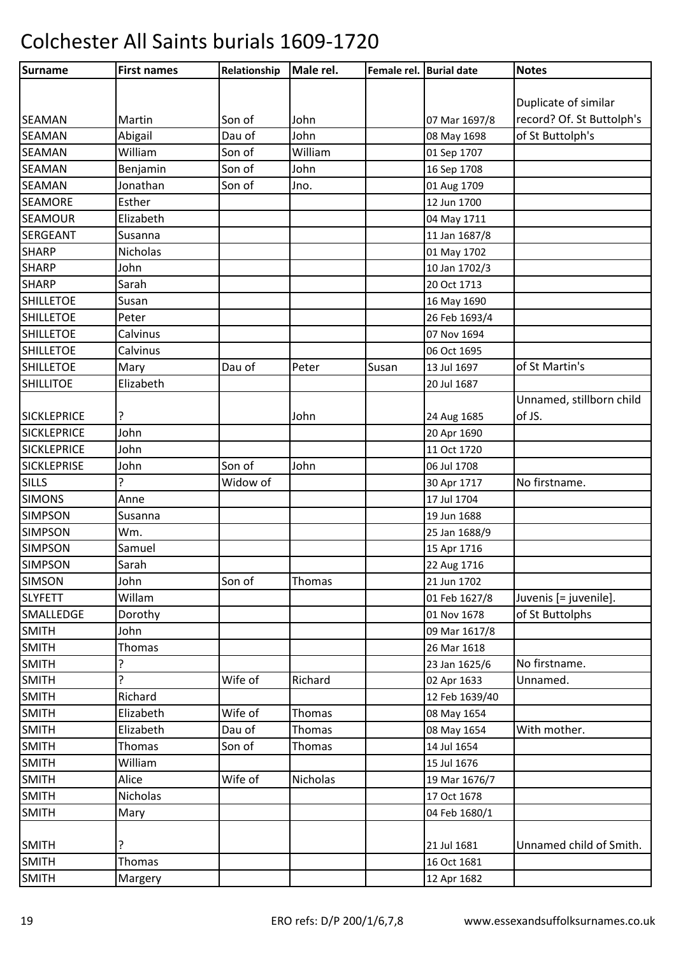| Surname            | <b>First names</b> | Relationship | Male rel.     | Female rel. Burial date |                | <b>Notes</b>              |
|--------------------|--------------------|--------------|---------------|-------------------------|----------------|---------------------------|
|                    |                    |              |               |                         |                |                           |
|                    |                    |              |               |                         |                | Duplicate of similar      |
| <b>SEAMAN</b>      | Martin             | Son of       | John          |                         | 07 Mar 1697/8  | record? Of. St Buttolph's |
| <b>SEAMAN</b>      | Abigail            | Dau of       | John          |                         | 08 May 1698    | of St Buttolph's          |
| <b>SEAMAN</b>      | William            | Son of       | William       |                         | 01 Sep 1707    |                           |
| <b>SEAMAN</b>      | Benjamin           | Son of       | John          |                         | 16 Sep 1708    |                           |
| <b>SEAMAN</b>      | Jonathan           | Son of       | Jno.          |                         | 01 Aug 1709    |                           |
| <b>SEAMORE</b>     | Esther             |              |               |                         | 12 Jun 1700    |                           |
| <b>SEAMOUR</b>     | Elizabeth          |              |               |                         | 04 May 1711    |                           |
| <b>SERGEANT</b>    | Susanna            |              |               |                         | 11 Jan 1687/8  |                           |
| <b>SHARP</b>       | Nicholas           |              |               |                         | 01 May 1702    |                           |
| <b>SHARP</b>       | John               |              |               |                         | 10 Jan 1702/3  |                           |
| <b>SHARP</b>       | Sarah              |              |               |                         | 20 Oct 1713    |                           |
| <b>SHILLETOE</b>   | Susan              |              |               |                         | 16 May 1690    |                           |
| <b>SHILLETOE</b>   | Peter              |              |               |                         | 26 Feb 1693/4  |                           |
| <b>SHILLETOE</b>   | Calvinus           |              |               |                         | 07 Nov 1694    |                           |
| <b>SHILLETOE</b>   | Calvinus           |              |               |                         | 06 Oct 1695    |                           |
| <b>SHILLETOE</b>   | Mary               | Dau of       | Peter         | Susan                   | 13 Jul 1697    | of St Martin's            |
| <b>SHILLITOE</b>   | Elizabeth          |              |               |                         | 20 Jul 1687    |                           |
|                    |                    |              |               |                         |                | Unnamed, stillborn child  |
| <b>SICKLEPRICE</b> | ?                  |              | John          |                         | 24 Aug 1685    | of JS.                    |
| <b>SICKLEPRICE</b> | John               |              |               |                         | 20 Apr 1690    |                           |
| <b>SICKLEPRICE</b> | John               |              |               |                         | 11 Oct 1720    |                           |
| <b>SICKLEPRISE</b> | John               | Son of       | John          |                         | 06 Jul 1708    |                           |
| <b>SILLS</b>       | ?                  | Widow of     |               |                         | 30 Apr 1717    | No firstname.             |
| <b>SIMONS</b>      | Anne               |              |               |                         | 17 Jul 1704    |                           |
| <b>SIMPSON</b>     | Susanna            |              |               |                         | 19 Jun 1688    |                           |
| <b>SIMPSON</b>     | Wm.                |              |               |                         | 25 Jan 1688/9  |                           |
| <b>SIMPSON</b>     | Samuel             |              |               |                         | 15 Apr 1716    |                           |
| <b>SIMPSON</b>     | Sarah              |              |               |                         | 22 Aug 1716    |                           |
| <b>SIMSON</b>      | John               | Son of       | Thomas        |                         | 21 Jun 1702    |                           |
| <b>SLYFETT</b>     | Willam             |              |               |                         | 01 Feb 1627/8  | Juvenis [= juvenile].     |
| SMALLEDGE          | Dorothy            |              |               |                         | 01 Nov 1678    | of St Buttolphs           |
| <b>SMITH</b>       | John               |              |               |                         | 09 Mar 1617/8  |                           |
| <b>SMITH</b>       | <b>Thomas</b>      |              |               |                         | 26 Mar 1618    |                           |
| <b>SMITH</b>       | ?                  |              |               |                         | 23 Jan 1625/6  | No firstname.             |
| <b>SMITH</b>       | 5.                 | Wife of      | Richard       |                         | 02 Apr 1633    | Unnamed.                  |
| <b>SMITH</b>       | Richard            |              |               |                         | 12 Feb 1639/40 |                           |
| <b>SMITH</b>       | Elizabeth          | Wife of      | <b>Thomas</b> |                         | 08 May 1654    |                           |
| <b>SMITH</b>       | Elizabeth          | Dau of       | <b>Thomas</b> |                         | 08 May 1654    | With mother.              |
| <b>SMITH</b>       | Thomas             | Son of       | <b>Thomas</b> |                         | 14 Jul 1654    |                           |
| <b>SMITH</b>       | William            |              |               |                         | 15 Jul 1676    |                           |
| <b>SMITH</b>       | Alice              | Wife of      | Nicholas      |                         | 19 Mar 1676/7  |                           |
| <b>SMITH</b>       | Nicholas           |              |               |                         | 17 Oct 1678    |                           |
| <b>SMITH</b>       | Mary               |              |               |                         | 04 Feb 1680/1  |                           |
|                    |                    |              |               |                         |                |                           |
| <b>SMITH</b>       | ?                  |              |               |                         | 21 Jul 1681    | Unnamed child of Smith.   |
| <b>SMITH</b>       | Thomas             |              |               |                         | 16 Oct 1681    |                           |
| <b>SMITH</b>       | Margery            |              |               |                         | 12 Apr 1682    |                           |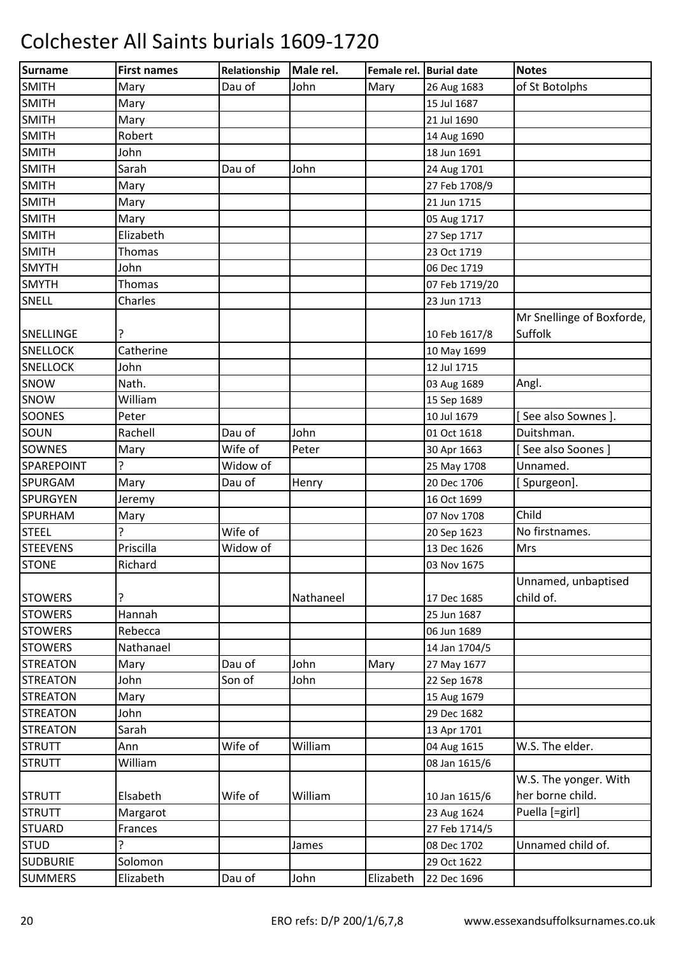| Surname         | <b>First names</b> | Relationship | Male rel. | Female rel. Burial date |                | <b>Notes</b>                         |
|-----------------|--------------------|--------------|-----------|-------------------------|----------------|--------------------------------------|
| <b>SMITH</b>    | Mary               | Dau of       | John      | Mary                    | 26 Aug 1683    | of St Botolphs                       |
| <b>SMITH</b>    | Mary               |              |           |                         | 15 Jul 1687    |                                      |
| <b>SMITH</b>    | Mary               |              |           |                         | 21 Jul 1690    |                                      |
| <b>SMITH</b>    | Robert             |              |           |                         | 14 Aug 1690    |                                      |
| <b>SMITH</b>    | John               |              |           |                         | 18 Jun 1691    |                                      |
| <b>SMITH</b>    | Sarah              | Dau of       | John      |                         | 24 Aug 1701    |                                      |
| <b>SMITH</b>    | Mary               |              |           |                         | 27 Feb 1708/9  |                                      |
| <b>SMITH</b>    | Mary               |              |           |                         | 21 Jun 1715    |                                      |
| <b>SMITH</b>    | Mary               |              |           |                         | 05 Aug 1717    |                                      |
| <b>SMITH</b>    | Elizabeth          |              |           |                         | 27 Sep 1717    |                                      |
| <b>SMITH</b>    | Thomas             |              |           |                         | 23 Oct 1719    |                                      |
| <b>SMYTH</b>    | John               |              |           |                         | 06 Dec 1719    |                                      |
| <b>SMYTH</b>    | Thomas             |              |           |                         | 07 Feb 1719/20 |                                      |
| SNELL           | Charles            |              |           |                         | 23 Jun 1713    |                                      |
| SNELLINGE       |                    |              |           |                         | 10 Feb 1617/8  | Mr Snellinge of Boxforde,<br>Suffolk |
| <b>SNELLOCK</b> | Catherine          |              |           |                         | 10 May 1699    |                                      |
| <b>SNELLOCK</b> | John               |              |           |                         | 12 Jul 1715    |                                      |
| SNOW            | Nath.              |              |           |                         | 03 Aug 1689    | Angl.                                |
| SNOW            | William            |              |           |                         | 15 Sep 1689    |                                      |
| <b>SOONES</b>   | Peter              |              |           |                         | 10 Jul 1679    | [See also Sownes].                   |
| SOUN            | Rachell            | Dau of       | John      |                         | 01 Oct 1618    | Duitshman.                           |
| <b>SOWNES</b>   | Mary               | Wife of      | Peter     |                         | 30 Apr 1663    | [See also Soones]                    |
| SPAREPOINT      | 5.                 | Widow of     |           |                         | 25 May 1708    | Unnamed.                             |
| <b>SPURGAM</b>  | Mary               | Dau of       | Henry     |                         | 20 Dec 1706    | [ Spurgeon].                         |
| <b>SPURGYEN</b> | Jeremy             |              |           |                         | 16 Oct 1699    |                                      |
| SPURHAM         | Mary               |              |           |                         | 07 Nov 1708    | Child                                |
| <b>STEEL</b>    |                    | Wife of      |           |                         | 20 Sep 1623    | No firstnames.                       |
| <b>STEEVENS</b> | Priscilla          | Widow of     |           |                         | 13 Dec 1626    | Mrs                                  |
| <b>STONE</b>    | Richard            |              |           |                         | 03 Nov 1675    |                                      |
| <b>STOWERS</b>  |                    |              | Nathaneel |                         | 17 Dec 1685    | Unnamed, unbaptised<br>child of.     |
| <b>STOWERS</b>  | Hannah             |              |           |                         | 25 Jun 1687    |                                      |
| <b>STOWERS</b>  | Rebecca            |              |           |                         | 06 Jun 1689    |                                      |
| <b>STOWERS</b>  | Nathanael          |              |           |                         | 14 Jan 1704/5  |                                      |
| <b>STREATON</b> | Mary               | Dau of       | John      | Mary                    | 27 May 1677    |                                      |
| <b>STREATON</b> | John               | Son of       | John      |                         | 22 Sep 1678    |                                      |
| <b>STREATON</b> | Mary               |              |           |                         | 15 Aug 1679    |                                      |
| <b>STREATON</b> | John               |              |           |                         | 29 Dec 1682    |                                      |
| <b>STREATON</b> | Sarah              |              |           |                         | 13 Apr 1701    |                                      |
| <b>STRUTT</b>   | Ann                | Wife of      | William   |                         | 04 Aug 1615    | W.S. The elder.                      |
| <b>STRUTT</b>   | William            |              |           |                         | 08 Jan 1615/6  |                                      |
|                 |                    |              |           |                         |                | W.S. The yonger. With                |
| <b>STRUTT</b>   | Elsabeth           | Wife of      | William   |                         | 10 Jan 1615/6  | her borne child.                     |
| <b>STRUTT</b>   | Margarot           |              |           |                         | 23 Aug 1624    | Puella [=girl]                       |
| <b>STUARD</b>   | Frances            |              |           |                         | 27 Feb 1714/5  |                                      |
| <b>STUD</b>     | ŗ                  |              | James     |                         | 08 Dec 1702    | Unnamed child of.                    |
| <b>SUDBURIE</b> | Solomon            |              |           |                         | 29 Oct 1622    |                                      |
| <b>SUMMERS</b>  | Elizabeth          | Dau of       | John      | Elizabeth               | 22 Dec 1696    |                                      |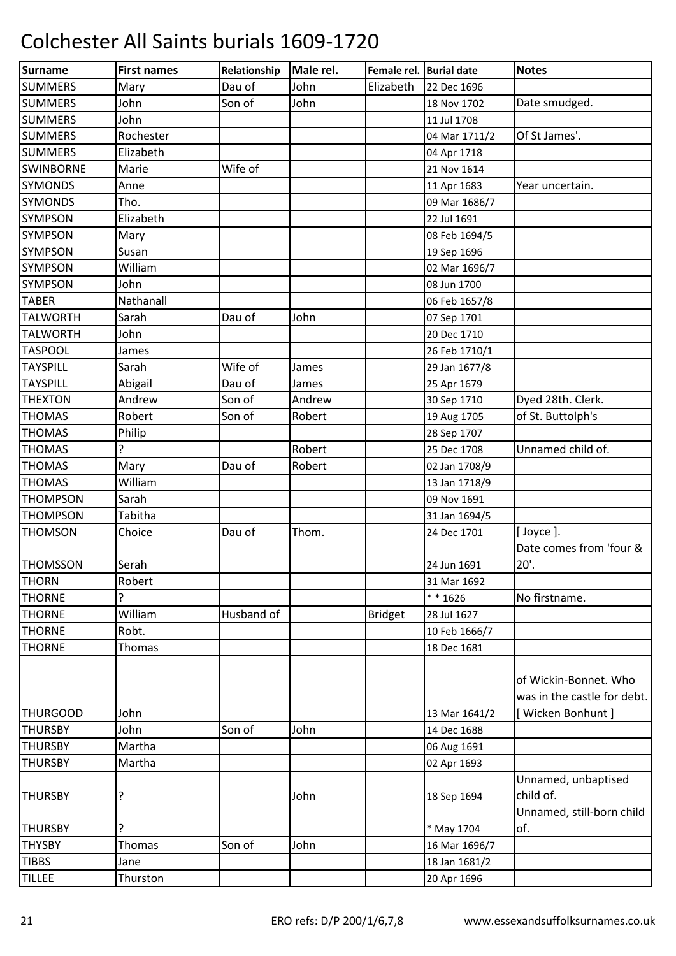| Dau of<br><b>SUMMERS</b><br>John<br>Elizabeth<br>22 Dec 1696<br>Mary<br><b>SUMMERS</b><br>John<br>Son of<br>John<br>Date smudged.<br>18 Nov 1702<br><b>SUMMERS</b><br>John<br>11 Jul 1708<br>Rochester<br>Of St James'.<br><b>SUMMERS</b><br>04 Mar 1711/2<br>Elizabeth<br>04 Apr 1718<br>Wife of<br><b>SWINBORNE</b><br>Marie<br>21 Nov 1614<br><b>SYMONDS</b><br>Anne<br>11 Apr 1683<br>Year uncertain.<br><b>SYMONDS</b><br>Tho.<br>09 Mar 1686/7<br>Elizabeth<br><b>SYMPSON</b><br>22 Jul 1691<br><b>SYMPSON</b><br>08 Feb 1694/5<br>Mary<br><b>SYMPSON</b><br>Susan<br>19 Sep 1696<br><b>SYMPSON</b><br>William<br>02 Mar 1696/7<br><b>SYMPSON</b><br>John<br>08 Jun 1700<br>Nathanall<br><b>TABER</b><br>06 Feb 1657/8<br><b>TALWORTH</b><br>Dau of<br>Sarah<br>John<br>07 Sep 1701<br><b>TALWORTH</b><br>John<br>20 Dec 1710<br><b>TASPOOL</b><br>26 Feb 1710/1<br>James<br>Wife of<br><b>TAYSPILL</b><br>Sarah<br>29 Jan 1677/8<br>James<br><b>TAYSPILL</b><br>Dau of<br>Abigail<br>25 Apr 1679<br>James<br>Dyed 28th. Clerk.<br>Son of<br><b>THEXTON</b><br>Andrew<br>Andrew<br>30 Sep 1710<br>of St. Buttolph's<br>Robert<br>Son of<br><b>THOMAS</b><br>Robert<br>19 Aug 1705<br><b>THOMAS</b><br>Philip<br>28 Sep 1707<br>Unnamed child of.<br><b>THOMAS</b><br>Robert<br>25 Dec 1708<br>Dau of<br><b>THOMAS</b><br>Mary<br>Robert<br>02 Jan 1708/9<br>William<br><b>THOMAS</b><br>13 Jan 1718/9<br><b>THOMPSON</b><br>Sarah<br>09 Nov 1691<br><b>THOMPSON</b><br>Tabitha<br>31 Jan 1694/5<br><b>THOMSON</b><br>Dau of<br>Thom.<br>[ Joyce ].<br>Choice<br>24 Dec 1701<br>Date comes from 'four & | Surname         | <b>First names</b> | Relationship | Male rel. | Female rel. Burial date | <b>Notes</b> |
|--------------------------------------------------------------------------------------------------------------------------------------------------------------------------------------------------------------------------------------------------------------------------------------------------------------------------------------------------------------------------------------------------------------------------------------------------------------------------------------------------------------------------------------------------------------------------------------------------------------------------------------------------------------------------------------------------------------------------------------------------------------------------------------------------------------------------------------------------------------------------------------------------------------------------------------------------------------------------------------------------------------------------------------------------------------------------------------------------------------------------------------------------------------------------------------------------------------------------------------------------------------------------------------------------------------------------------------------------------------------------------------------------------------------------------------------------------------------------------------------------------------------------------------------------------------------------------------------------------------|-----------------|--------------------|--------------|-----------|-------------------------|--------------|
|                                                                                                                                                                                                                                                                                                                                                                                                                                                                                                                                                                                                                                                                                                                                                                                                                                                                                                                                                                                                                                                                                                                                                                                                                                                                                                                                                                                                                                                                                                                                                                                                              |                 |                    |              |           |                         |              |
|                                                                                                                                                                                                                                                                                                                                                                                                                                                                                                                                                                                                                                                                                                                                                                                                                                                                                                                                                                                                                                                                                                                                                                                                                                                                                                                                                                                                                                                                                                                                                                                                              |                 |                    |              |           |                         |              |
|                                                                                                                                                                                                                                                                                                                                                                                                                                                                                                                                                                                                                                                                                                                                                                                                                                                                                                                                                                                                                                                                                                                                                                                                                                                                                                                                                                                                                                                                                                                                                                                                              |                 |                    |              |           |                         |              |
|                                                                                                                                                                                                                                                                                                                                                                                                                                                                                                                                                                                                                                                                                                                                                                                                                                                                                                                                                                                                                                                                                                                                                                                                                                                                                                                                                                                                                                                                                                                                                                                                              |                 |                    |              |           |                         |              |
|                                                                                                                                                                                                                                                                                                                                                                                                                                                                                                                                                                                                                                                                                                                                                                                                                                                                                                                                                                                                                                                                                                                                                                                                                                                                                                                                                                                                                                                                                                                                                                                                              | <b>SUMMERS</b>  |                    |              |           |                         |              |
|                                                                                                                                                                                                                                                                                                                                                                                                                                                                                                                                                                                                                                                                                                                                                                                                                                                                                                                                                                                                                                                                                                                                                                                                                                                                                                                                                                                                                                                                                                                                                                                                              |                 |                    |              |           |                         |              |
|                                                                                                                                                                                                                                                                                                                                                                                                                                                                                                                                                                                                                                                                                                                                                                                                                                                                                                                                                                                                                                                                                                                                                                                                                                                                                                                                                                                                                                                                                                                                                                                                              |                 |                    |              |           |                         |              |
|                                                                                                                                                                                                                                                                                                                                                                                                                                                                                                                                                                                                                                                                                                                                                                                                                                                                                                                                                                                                                                                                                                                                                                                                                                                                                                                                                                                                                                                                                                                                                                                                              |                 |                    |              |           |                         |              |
|                                                                                                                                                                                                                                                                                                                                                                                                                                                                                                                                                                                                                                                                                                                                                                                                                                                                                                                                                                                                                                                                                                                                                                                                                                                                                                                                                                                                                                                                                                                                                                                                              |                 |                    |              |           |                         |              |
|                                                                                                                                                                                                                                                                                                                                                                                                                                                                                                                                                                                                                                                                                                                                                                                                                                                                                                                                                                                                                                                                                                                                                                                                                                                                                                                                                                                                                                                                                                                                                                                                              |                 |                    |              |           |                         |              |
|                                                                                                                                                                                                                                                                                                                                                                                                                                                                                                                                                                                                                                                                                                                                                                                                                                                                                                                                                                                                                                                                                                                                                                                                                                                                                                                                                                                                                                                                                                                                                                                                              |                 |                    |              |           |                         |              |
|                                                                                                                                                                                                                                                                                                                                                                                                                                                                                                                                                                                                                                                                                                                                                                                                                                                                                                                                                                                                                                                                                                                                                                                                                                                                                                                                                                                                                                                                                                                                                                                                              |                 |                    |              |           |                         |              |
|                                                                                                                                                                                                                                                                                                                                                                                                                                                                                                                                                                                                                                                                                                                                                                                                                                                                                                                                                                                                                                                                                                                                                                                                                                                                                                                                                                                                                                                                                                                                                                                                              |                 |                    |              |           |                         |              |
|                                                                                                                                                                                                                                                                                                                                                                                                                                                                                                                                                                                                                                                                                                                                                                                                                                                                                                                                                                                                                                                                                                                                                                                                                                                                                                                                                                                                                                                                                                                                                                                                              |                 |                    |              |           |                         |              |
|                                                                                                                                                                                                                                                                                                                                                                                                                                                                                                                                                                                                                                                                                                                                                                                                                                                                                                                                                                                                                                                                                                                                                                                                                                                                                                                                                                                                                                                                                                                                                                                                              |                 |                    |              |           |                         |              |
|                                                                                                                                                                                                                                                                                                                                                                                                                                                                                                                                                                                                                                                                                                                                                                                                                                                                                                                                                                                                                                                                                                                                                                                                                                                                                                                                                                                                                                                                                                                                                                                                              |                 |                    |              |           |                         |              |
|                                                                                                                                                                                                                                                                                                                                                                                                                                                                                                                                                                                                                                                                                                                                                                                                                                                                                                                                                                                                                                                                                                                                                                                                                                                                                                                                                                                                                                                                                                                                                                                                              |                 |                    |              |           |                         |              |
|                                                                                                                                                                                                                                                                                                                                                                                                                                                                                                                                                                                                                                                                                                                                                                                                                                                                                                                                                                                                                                                                                                                                                                                                                                                                                                                                                                                                                                                                                                                                                                                                              |                 |                    |              |           |                         |              |
|                                                                                                                                                                                                                                                                                                                                                                                                                                                                                                                                                                                                                                                                                                                                                                                                                                                                                                                                                                                                                                                                                                                                                                                                                                                                                                                                                                                                                                                                                                                                                                                                              |                 |                    |              |           |                         |              |
|                                                                                                                                                                                                                                                                                                                                                                                                                                                                                                                                                                                                                                                                                                                                                                                                                                                                                                                                                                                                                                                                                                                                                                                                                                                                                                                                                                                                                                                                                                                                                                                                              |                 |                    |              |           |                         |              |
|                                                                                                                                                                                                                                                                                                                                                                                                                                                                                                                                                                                                                                                                                                                                                                                                                                                                                                                                                                                                                                                                                                                                                                                                                                                                                                                                                                                                                                                                                                                                                                                                              |                 |                    |              |           |                         |              |
|                                                                                                                                                                                                                                                                                                                                                                                                                                                                                                                                                                                                                                                                                                                                                                                                                                                                                                                                                                                                                                                                                                                                                                                                                                                                                                                                                                                                                                                                                                                                                                                                              |                 |                    |              |           |                         |              |
|                                                                                                                                                                                                                                                                                                                                                                                                                                                                                                                                                                                                                                                                                                                                                                                                                                                                                                                                                                                                                                                                                                                                                                                                                                                                                                                                                                                                                                                                                                                                                                                                              |                 |                    |              |           |                         |              |
|                                                                                                                                                                                                                                                                                                                                                                                                                                                                                                                                                                                                                                                                                                                                                                                                                                                                                                                                                                                                                                                                                                                                                                                                                                                                                                                                                                                                                                                                                                                                                                                                              |                 |                    |              |           |                         |              |
|                                                                                                                                                                                                                                                                                                                                                                                                                                                                                                                                                                                                                                                                                                                                                                                                                                                                                                                                                                                                                                                                                                                                                                                                                                                                                                                                                                                                                                                                                                                                                                                                              |                 |                    |              |           |                         |              |
|                                                                                                                                                                                                                                                                                                                                                                                                                                                                                                                                                                                                                                                                                                                                                                                                                                                                                                                                                                                                                                                                                                                                                                                                                                                                                                                                                                                                                                                                                                                                                                                                              |                 |                    |              |           |                         |              |
|                                                                                                                                                                                                                                                                                                                                                                                                                                                                                                                                                                                                                                                                                                                                                                                                                                                                                                                                                                                                                                                                                                                                                                                                                                                                                                                                                                                                                                                                                                                                                                                                              |                 |                    |              |           |                         |              |
|                                                                                                                                                                                                                                                                                                                                                                                                                                                                                                                                                                                                                                                                                                                                                                                                                                                                                                                                                                                                                                                                                                                                                                                                                                                                                                                                                                                                                                                                                                                                                                                                              |                 |                    |              |           |                         |              |
|                                                                                                                                                                                                                                                                                                                                                                                                                                                                                                                                                                                                                                                                                                                                                                                                                                                                                                                                                                                                                                                                                                                                                                                                                                                                                                                                                                                                                                                                                                                                                                                                              |                 |                    |              |           |                         |              |
| Serah<br>24 Jun 1691                                                                                                                                                                                                                                                                                                                                                                                                                                                                                                                                                                                                                                                                                                                                                                                                                                                                                                                                                                                                                                                                                                                                                                                                                                                                                                                                                                                                                                                                                                                                                                                         | <b>THOMSSON</b> |                    |              |           |                         | 20'.         |
| <b>THORN</b><br>Robert<br>31 Mar 1692                                                                                                                                                                                                                                                                                                                                                                                                                                                                                                                                                                                                                                                                                                                                                                                                                                                                                                                                                                                                                                                                                                                                                                                                                                                                                                                                                                                                                                                                                                                                                                        |                 |                    |              |           |                         |              |
| $* * 1626$<br>No firstname.<br><b>THORNE</b>                                                                                                                                                                                                                                                                                                                                                                                                                                                                                                                                                                                                                                                                                                                                                                                                                                                                                                                                                                                                                                                                                                                                                                                                                                                                                                                                                                                                                                                                                                                                                                 |                 |                    |              |           |                         |              |
| William<br><b>THORNE</b><br>Husband of<br><b>Bridget</b><br>28 Jul 1627                                                                                                                                                                                                                                                                                                                                                                                                                                                                                                                                                                                                                                                                                                                                                                                                                                                                                                                                                                                                                                                                                                                                                                                                                                                                                                                                                                                                                                                                                                                                      |                 |                    |              |           |                         |              |
| <b>THORNE</b><br>Robt.<br>10 Feb 1666/7                                                                                                                                                                                                                                                                                                                                                                                                                                                                                                                                                                                                                                                                                                                                                                                                                                                                                                                                                                                                                                                                                                                                                                                                                                                                                                                                                                                                                                                                                                                                                                      |                 |                    |              |           |                         |              |
| <b>THORNE</b><br>18 Dec 1681<br><b>Thomas</b>                                                                                                                                                                                                                                                                                                                                                                                                                                                                                                                                                                                                                                                                                                                                                                                                                                                                                                                                                                                                                                                                                                                                                                                                                                                                                                                                                                                                                                                                                                                                                                |                 |                    |              |           |                         |              |
| of Wickin-Bonnet. Who                                                                                                                                                                                                                                                                                                                                                                                                                                                                                                                                                                                                                                                                                                                                                                                                                                                                                                                                                                                                                                                                                                                                                                                                                                                                                                                                                                                                                                                                                                                                                                                        |                 |                    |              |           |                         |              |
| was in the castle for debt.                                                                                                                                                                                                                                                                                                                                                                                                                                                                                                                                                                                                                                                                                                                                                                                                                                                                                                                                                                                                                                                                                                                                                                                                                                                                                                                                                                                                                                                                                                                                                                                  |                 |                    |              |           |                         |              |
| [ Wicken Bonhunt ]<br>John<br>13 Mar 1641/2                                                                                                                                                                                                                                                                                                                                                                                                                                                                                                                                                                                                                                                                                                                                                                                                                                                                                                                                                                                                                                                                                                                                                                                                                                                                                                                                                                                                                                                                                                                                                                  | <b>THURGOOD</b> |                    |              |           |                         |              |
| Son of<br>John<br><b>THURSBY</b><br>John<br>14 Dec 1688                                                                                                                                                                                                                                                                                                                                                                                                                                                                                                                                                                                                                                                                                                                                                                                                                                                                                                                                                                                                                                                                                                                                                                                                                                                                                                                                                                                                                                                                                                                                                      |                 |                    |              |           |                         |              |
| <b>THURSBY</b><br>Martha<br>06 Aug 1691                                                                                                                                                                                                                                                                                                                                                                                                                                                                                                                                                                                                                                                                                                                                                                                                                                                                                                                                                                                                                                                                                                                                                                                                                                                                                                                                                                                                                                                                                                                                                                      |                 |                    |              |           |                         |              |
| <b>THURSBY</b><br>Martha<br>02 Apr 1693                                                                                                                                                                                                                                                                                                                                                                                                                                                                                                                                                                                                                                                                                                                                                                                                                                                                                                                                                                                                                                                                                                                                                                                                                                                                                                                                                                                                                                                                                                                                                                      |                 |                    |              |           |                         |              |
| Unnamed, unbaptised<br>child of.<br>?<br>John<br>18 Sep 1694                                                                                                                                                                                                                                                                                                                                                                                                                                                                                                                                                                                                                                                                                                                                                                                                                                                                                                                                                                                                                                                                                                                                                                                                                                                                                                                                                                                                                                                                                                                                                 | <b>THURSBY</b>  |                    |              |           |                         |              |
| Unnamed, still-born child                                                                                                                                                                                                                                                                                                                                                                                                                                                                                                                                                                                                                                                                                                                                                                                                                                                                                                                                                                                                                                                                                                                                                                                                                                                                                                                                                                                                                                                                                                                                                                                    |                 |                    |              |           |                         |              |
| of.<br>* May 1704                                                                                                                                                                                                                                                                                                                                                                                                                                                                                                                                                                                                                                                                                                                                                                                                                                                                                                                                                                                                                                                                                                                                                                                                                                                                                                                                                                                                                                                                                                                                                                                            | <b>THURSBY</b>  |                    |              |           |                         |              |
| <b>THYSBY</b><br>Son of<br>John<br>Thomas<br>16 Mar 1696/7                                                                                                                                                                                                                                                                                                                                                                                                                                                                                                                                                                                                                                                                                                                                                                                                                                                                                                                                                                                                                                                                                                                                                                                                                                                                                                                                                                                                                                                                                                                                                   |                 |                    |              |           |                         |              |
| <b>TIBBS</b><br>18 Jan 1681/2<br>Jane                                                                                                                                                                                                                                                                                                                                                                                                                                                                                                                                                                                                                                                                                                                                                                                                                                                                                                                                                                                                                                                                                                                                                                                                                                                                                                                                                                                                                                                                                                                                                                        |                 |                    |              |           |                         |              |
| <b>TILLEE</b><br>20 Apr 1696<br>Thurston                                                                                                                                                                                                                                                                                                                                                                                                                                                                                                                                                                                                                                                                                                                                                                                                                                                                                                                                                                                                                                                                                                                                                                                                                                                                                                                                                                                                                                                                                                                                                                     |                 |                    |              |           |                         |              |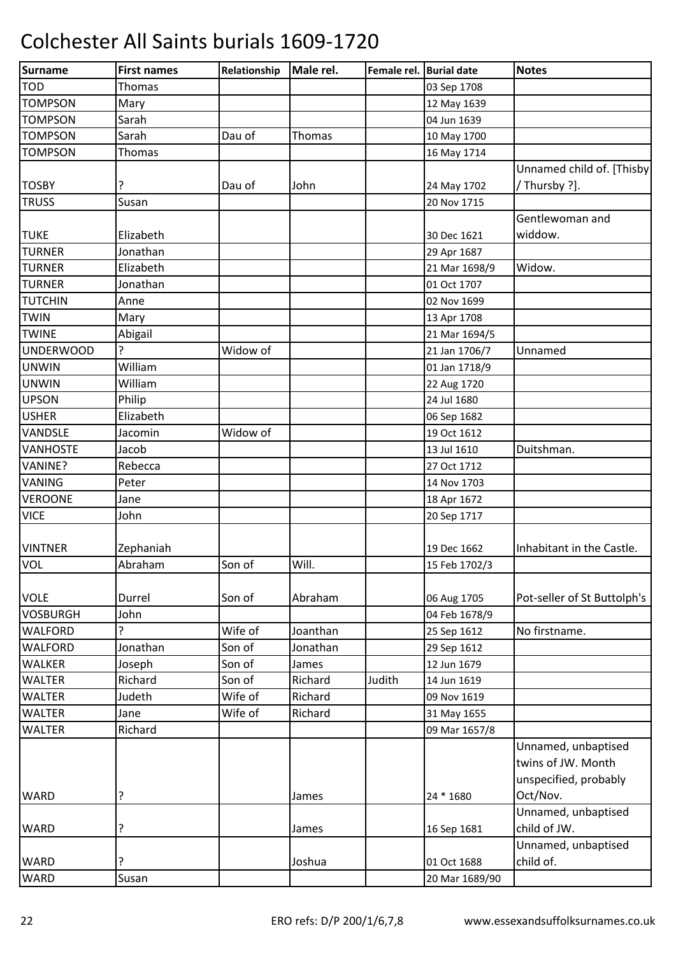| <b>Surname</b>   | <b>First names</b> | Relationship | Male rel. | Female rel. Burial date |                | <b>Notes</b>                |
|------------------|--------------------|--------------|-----------|-------------------------|----------------|-----------------------------|
| <b>TOD</b>       | <b>Thomas</b>      |              |           |                         | 03 Sep 1708    |                             |
| <b>TOMPSON</b>   | Mary               |              |           |                         | 12 May 1639    |                             |
| <b>TOMPSON</b>   | Sarah              |              |           |                         | 04 Jun 1639    |                             |
| <b>TOMPSON</b>   | Sarah              | Dau of       | Thomas    |                         | 10 May 1700    |                             |
| <b>TOMPSON</b>   | Thomas             |              |           |                         | 16 May 1714    |                             |
|                  |                    |              |           |                         |                | Unnamed child of. [Thisby]  |
| <b>TOSBY</b>     |                    | Dau of       | John      |                         | 24 May 1702    | Thursby ?].                 |
| <b>TRUSS</b>     | Susan              |              |           |                         | 20 Nov 1715    |                             |
|                  |                    |              |           |                         |                | Gentlewoman and             |
| <b>TUKE</b>      | Elizabeth          |              |           |                         | 30 Dec 1621    | widdow.                     |
| <b>TURNER</b>    | Jonathan           |              |           |                         | 29 Apr 1687    |                             |
| <b>TURNER</b>    | Elizabeth          |              |           |                         | 21 Mar 1698/9  | Widow.                      |
| <b>TURNER</b>    | Jonathan           |              |           |                         | 01 Oct 1707    |                             |
| <b>TUTCHIN</b>   | Anne               |              |           |                         | 02 Nov 1699    |                             |
| <b>TWIN</b>      | Mary               |              |           |                         | 13 Apr 1708    |                             |
| <b>TWINE</b>     | Abigail            |              |           |                         | 21 Mar 1694/5  |                             |
| <b>UNDERWOOD</b> | 5.                 | Widow of     |           |                         | 21 Jan 1706/7  | Unnamed                     |
| <b>UNWIN</b>     | William            |              |           |                         | 01 Jan 1718/9  |                             |
| <b>UNWIN</b>     | William            |              |           |                         | 22 Aug 1720    |                             |
| <b>UPSON</b>     | Philip             |              |           |                         | 24 Jul 1680    |                             |
| <b>USHER</b>     | Elizabeth          |              |           |                         | 06 Sep 1682    |                             |
| VANDSLE          | Jacomin            | Widow of     |           |                         | 19 Oct 1612    |                             |
| <b>VANHOSTE</b>  | Jacob              |              |           |                         | 13 Jul 1610    | Duitshman.                  |
| VANINE?          | Rebecca            |              |           |                         | 27 Oct 1712    |                             |
| VANING           | Peter              |              |           |                         | 14 Nov 1703    |                             |
| <b>VEROONE</b>   | Jane               |              |           |                         | 18 Apr 1672    |                             |
| <b>VICE</b>      | John               |              |           |                         | 20 Sep 1717    |                             |
|                  |                    |              |           |                         |                |                             |
| <b>VINTNER</b>   | Zephaniah          |              |           |                         | 19 Dec 1662    | Inhabitant in the Castle.   |
| VOL              | Abraham            | Son of       | Will.     |                         | 15 Feb 1702/3  |                             |
|                  |                    |              |           |                         |                |                             |
| <b>VOLE</b>      | Durrel             | Son of       | Abraham   |                         | 06 Aug 1705    | Pot-seller of St Buttolph's |
| <b>VOSBURGH</b>  | John               |              |           |                         | 04 Feb 1678/9  |                             |
| <b>WALFORD</b>   | 5.                 | Wife of      | Joanthan  |                         | 25 Sep 1612    | No firstname.               |
| <b>WALFORD</b>   | Jonathan           | Son of       | Jonathan  |                         | 29 Sep 1612    |                             |
| <b>WALKER</b>    | Joseph             | Son of       | James     |                         | 12 Jun 1679    |                             |
| <b>WALTER</b>    | Richard            | Son of       | Richard   | Judith                  | 14 Jun 1619    |                             |
| <b>WALTER</b>    | Judeth             | Wife of      | Richard   |                         | 09 Nov 1619    |                             |
| <b>WALTER</b>    | Jane               | Wife of      | Richard   |                         | 31 May 1655    |                             |
| <b>WALTER</b>    | Richard            |              |           |                         | 09 Mar 1657/8  |                             |
|                  |                    |              |           |                         |                | Unnamed, unbaptised         |
|                  |                    |              |           |                         |                | twins of JW. Month          |
|                  |                    |              |           |                         |                | unspecified, probably       |
| <b>WARD</b>      | ?                  |              | James     |                         | 24 * 1680      | Oct/Nov.                    |
|                  |                    |              |           |                         |                | Unnamed, unbaptised         |
| <b>WARD</b>      | ?                  |              | James     |                         | 16 Sep 1681    | child of JW.                |
|                  |                    |              |           |                         |                | Unnamed, unbaptised         |
| <b>WARD</b>      | ?                  |              | Joshua    |                         | 01 Oct 1688    | child of.                   |
| <b>WARD</b>      | Susan              |              |           |                         | 20 Mar 1689/90 |                             |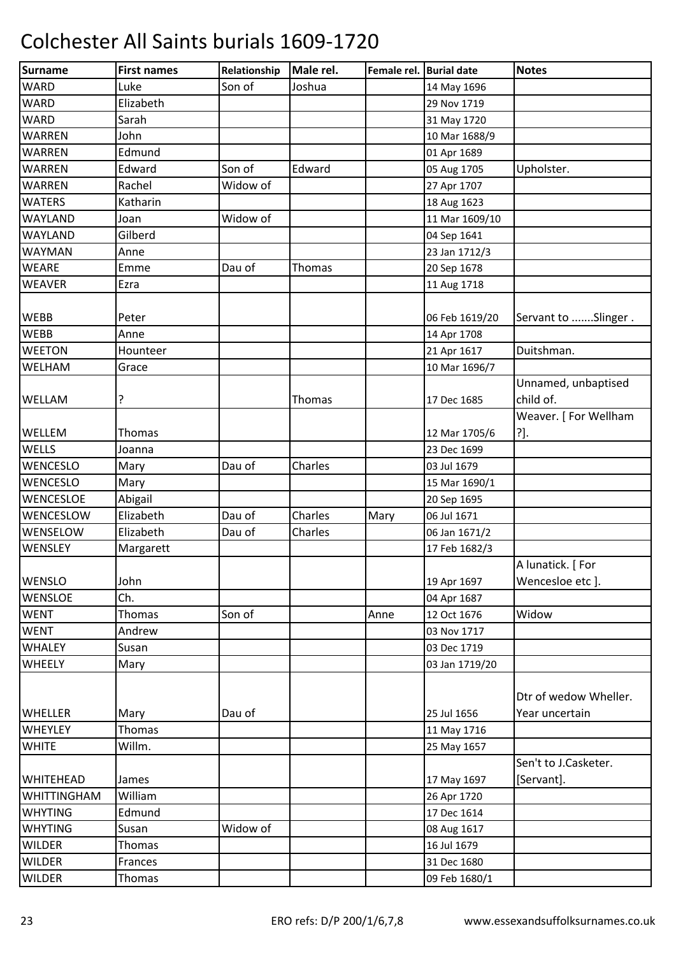| Surname            | <b>First names</b> | Relationship | Male rel.     | Female rel. Burial date |                | <b>Notes</b>                     |
|--------------------|--------------------|--------------|---------------|-------------------------|----------------|----------------------------------|
| <b>WARD</b>        | Luke               | Son of       | Joshua        |                         | 14 May 1696    |                                  |
| <b>WARD</b>        | Elizabeth          |              |               |                         | 29 Nov 1719    |                                  |
| <b>WARD</b>        | Sarah              |              |               |                         | 31 May 1720    |                                  |
| <b>WARREN</b>      | John               |              |               |                         | 10 Mar 1688/9  |                                  |
| WARREN             | Edmund             |              |               |                         | 01 Apr 1689    |                                  |
| <b>WARREN</b>      | Edward             | Son of       | Edward        |                         | 05 Aug 1705    | Upholster.                       |
| <b>WARREN</b>      | Rachel             | Widow of     |               |                         | 27 Apr 1707    |                                  |
| <b>WATERS</b>      | Katharin           |              |               |                         | 18 Aug 1623    |                                  |
| <b>WAYLAND</b>     | Joan               | Widow of     |               |                         | 11 Mar 1609/10 |                                  |
| <b>WAYLAND</b>     | Gilberd            |              |               |                         | 04 Sep 1641    |                                  |
| <b>WAYMAN</b>      | Anne               |              |               |                         | 23 Jan 1712/3  |                                  |
| <b>WEARE</b>       | Emme               | Dau of       | Thomas        |                         | 20 Sep 1678    |                                  |
| <b>WEAVER</b>      | <b>Ezra</b>        |              |               |                         | 11 Aug 1718    |                                  |
|                    |                    |              |               |                         |                |                                  |
| <b>WEBB</b>        | Peter              |              |               |                         | 06 Feb 1619/20 | Servant to Slinger .             |
| <b>WEBB</b>        | Anne               |              |               |                         | 14 Apr 1708    |                                  |
| <b>WEETON</b>      | Hounteer           |              |               |                         | 21 Apr 1617    | Duitshman.                       |
| WELHAM             | Grace              |              |               |                         | 10 Mar 1696/7  |                                  |
| WELLAM             | ?                  |              | <b>Thomas</b> |                         | 17 Dec 1685    | Unnamed, unbaptised<br>child of. |
|                    |                    |              |               |                         |                | Weaver. [For Wellham             |
| WELLEM             | <b>Thomas</b>      |              |               |                         | 12 Mar 1705/6  | ?].                              |
| <b>WELLS</b>       | Joanna             |              |               |                         | 23 Dec 1699    |                                  |
| WENCESLO           | Mary               | Dau of       | Charles       |                         | 03 Jul 1679    |                                  |
| <b>WENCESLO</b>    | Mary               |              |               |                         | 15 Mar 1690/1  |                                  |
| <b>WENCESLOE</b>   | Abigail            |              |               |                         | 20 Sep 1695    |                                  |
| WENCESLOW          | Elizabeth          | Dau of       | Charles       | Mary                    | 06 Jul 1671    |                                  |
| WENSELOW           | Elizabeth          | Dau of       | Charles       |                         | 06 Jan 1671/2  |                                  |
| WENSLEY            | Margarett          |              |               |                         | 17 Feb 1682/3  |                                  |
|                    |                    |              |               |                         |                | A lunatick. [For                 |
| <b>WENSLO</b>      | John               |              |               |                         | 19 Apr 1697    | Wencesloe etc ].                 |
| <b>WENSLOE</b>     | Ch.                |              |               |                         | 04 Apr 1687    |                                  |
| <b>WENT</b>        | <b>Thomas</b>      | Son of       |               | Anne                    | 12 Oct 1676    | Widow                            |
| <b>WENT</b>        | Andrew             |              |               |                         | 03 Nov 1717    |                                  |
| <b>WHALEY</b>      | Susan              |              |               |                         | 03 Dec 1719    |                                  |
| WHEELY             | Mary               |              |               |                         | 03 Jan 1719/20 |                                  |
|                    |                    |              |               |                         |                |                                  |
|                    |                    |              |               |                         |                | Dtr of wedow Wheller.            |
| <b>WHELLER</b>     | Mary               | Dau of       |               |                         | 25 Jul 1656    | Year uncertain                   |
| <b>WHEYLEY</b>     | <b>Thomas</b>      |              |               |                         | 11 May 1716    |                                  |
| <b>WHITE</b>       | Willm.             |              |               |                         | 25 May 1657    |                                  |
|                    |                    |              |               |                         |                | Sen't to J.Casketer.             |
| <b>WHITEHEAD</b>   | James              |              |               |                         | 17 May 1697    | [Servant].                       |
| <b>WHITTINGHAM</b> | William            |              |               |                         | 26 Apr 1720    |                                  |
| <b>WHYTING</b>     | Edmund             |              |               |                         | 17 Dec 1614    |                                  |
| <b>WHYTING</b>     | Susan              | Widow of     |               |                         | 08 Aug 1617    |                                  |
| <b>WILDER</b>      | Thomas             |              |               |                         | 16 Jul 1679    |                                  |
| <b>WILDER</b>      | Frances            |              |               |                         | 31 Dec 1680    |                                  |
| <b>WILDER</b>      | Thomas             |              |               |                         | 09 Feb 1680/1  |                                  |